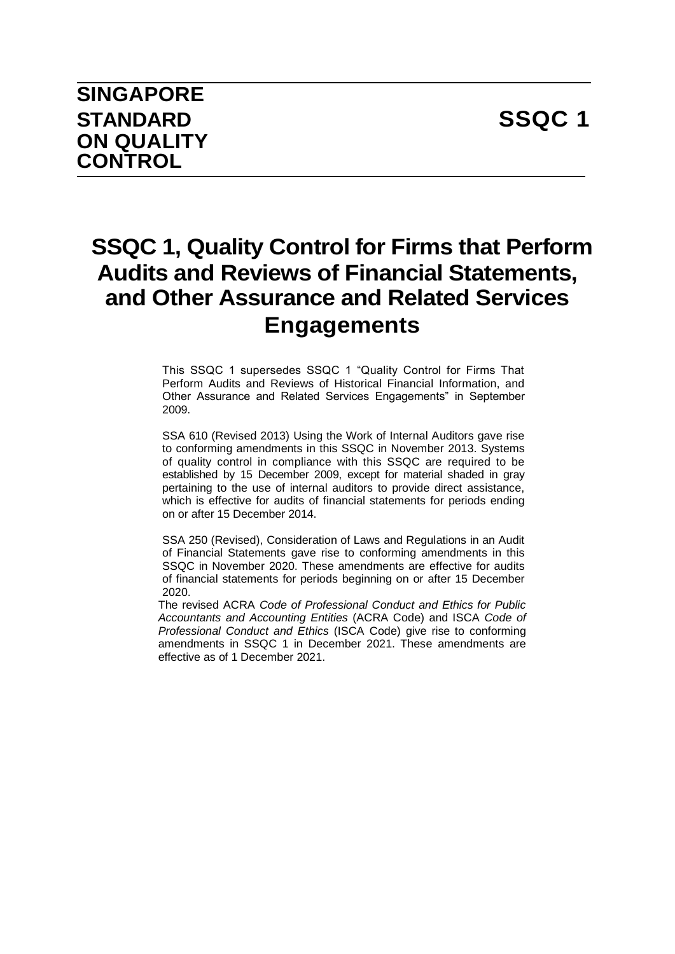# **SSQC 1, Quality Control for Firms that Perform Audits and Reviews of Financial Statements, and Other Assurance and Related Services Engagements**

This SSQC 1 supersedes SSQC 1 "Quality Control for Firms That Perform Audits and Reviews of Historical Financial Information, and Other Assurance and Related Services Engagements" in September 2009.

SSA 610 (Revised 2013) Using the Work of Internal Auditors gave rise to conforming amendments in this SSQC in November 2013. Systems of quality control in compliance with this SSQC are required to be established by 15 December 2009, except for material shaded in gray pertaining to the use of internal auditors to provide direct assistance, which is effective for audits of financial statements for periods ending on or after 15 December 2014.

SSA 250 (Revised), Consideration of Laws and Regulations in an Audit of Financial Statements gave rise to conforming amendments in this SSQC in November 2020. These amendments are effective for audits of financial statements for periods beginning on or after 15 December 2020.

The revised ACRA *Code of Professional Conduct and Ethics for Public Accountants and Accounting Entities* (ACRA Code) and ISCA *Code of Professional Conduct and Ethics* (ISCA Code) give rise to conforming amendments in SSQC 1 in December 2021. These amendments are effective as of 1 December 2021.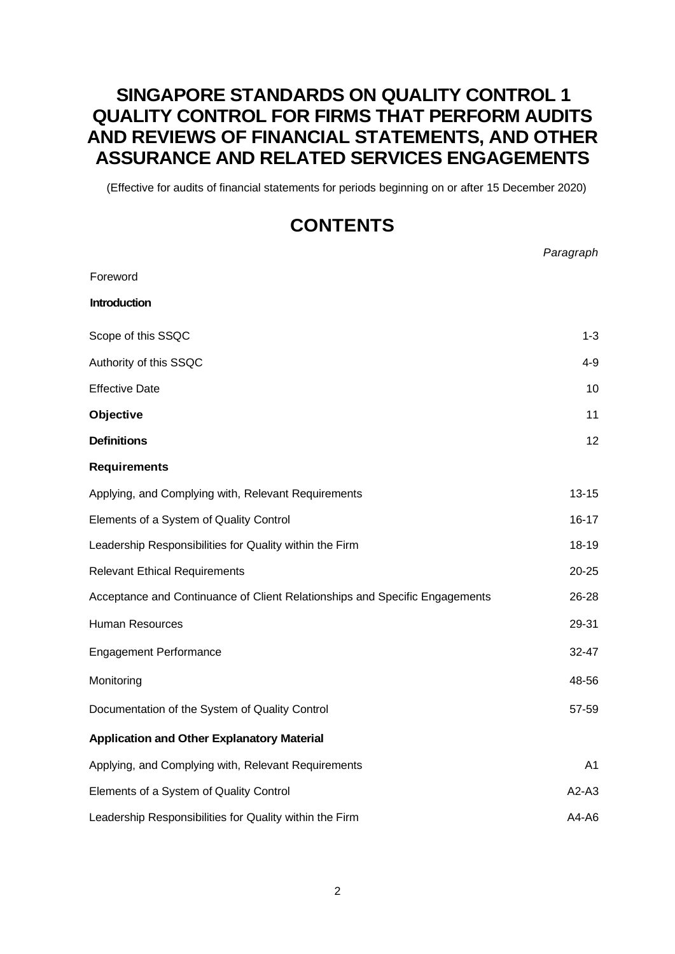# **SINGAPORE STANDARDS ON QUALITY CONTROL 1 QUALITY CONTROL FOR FIRMS THAT PERFORM AUDITS AND REVIEWS OF FINANCIAL STATEMENTS, AND OTHER ASSURANCE AND RELATED SERVICES ENGAGEMENTS**

(Effective for audits of financial statements for periods beginning on or after 15 December 2020)

# **CONTENTS**

|                                                                             | Paragraph      |
|-----------------------------------------------------------------------------|----------------|
| Foreword                                                                    |                |
| <b>Introduction</b>                                                         |                |
| Scope of this SSQC                                                          | $1 - 3$        |
| Authority of this SSQC                                                      | 4-9            |
| <b>Effective Date</b>                                                       | 10             |
| Objective                                                                   | 11             |
| <b>Definitions</b>                                                          | 12             |
| <b>Requirements</b>                                                         |                |
| Applying, and Complying with, Relevant Requirements                         | $13 - 15$      |
| Elements of a System of Quality Control                                     | $16 - 17$      |
| Leadership Responsibilities for Quality within the Firm                     | $18 - 19$      |
| <b>Relevant Ethical Requirements</b>                                        | $20 - 25$      |
| Acceptance and Continuance of Client Relationships and Specific Engagements | 26-28          |
| <b>Human Resources</b>                                                      | 29-31          |
| <b>Engagement Performance</b>                                               | 32-47          |
| Monitoring                                                                  | 48-56          |
| Documentation of the System of Quality Control                              | 57-59          |
| <b>Application and Other Explanatory Material</b>                           |                |
| Applying, and Complying with, Relevant Requirements                         | A <sub>1</sub> |
| Elements of a System of Quality Control                                     | $A2-A3$        |
| Leadership Responsibilities for Quality within the Firm                     | A4-A6          |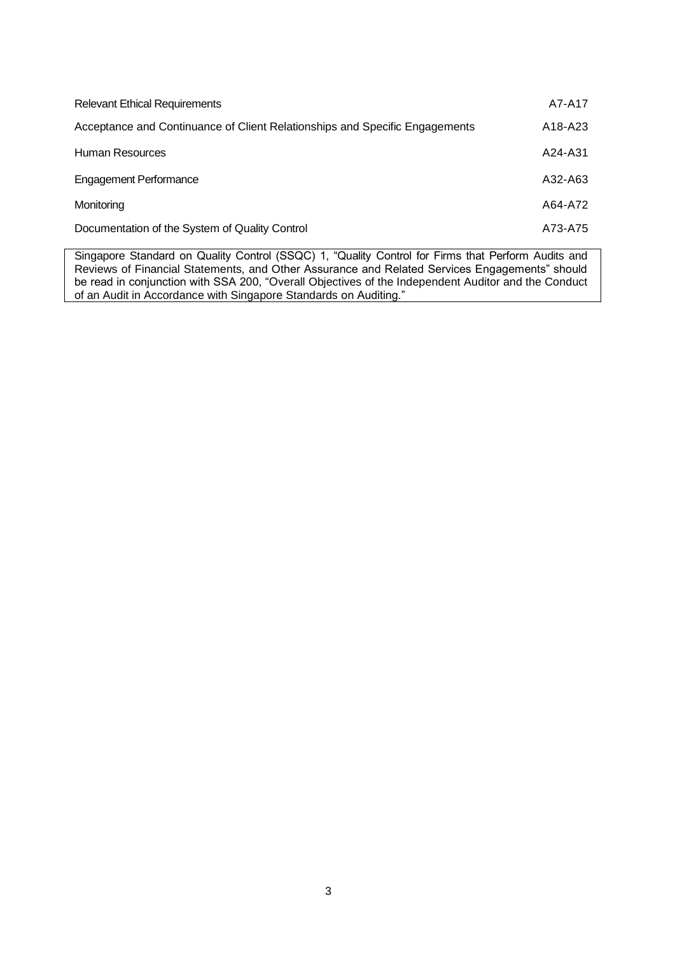| <b>Relevant Ethical Requirements</b>                                        | A7-A17  |
|-----------------------------------------------------------------------------|---------|
| Acceptance and Continuance of Client Relationships and Specific Engagements | A18-A23 |
| Human Resources                                                             | A24-A31 |
| <b>Engagement Performance</b>                                               | A32-A63 |
| Monitoring                                                                  | A64-A72 |
| Documentation of the System of Quality Control                              | A73-A75 |

Singapore Standard on Quality Control (SSQC) 1, "Quality Control for Firms that Perform Audits and Reviews of Financial Statements, and Other Assurance and Related Services Engagements" should be read in conjunction with SSA 200, "Overall Objectives of the Independent Auditor and the Conduct of an Audit in Accordance with Singapore Standards on Auditing."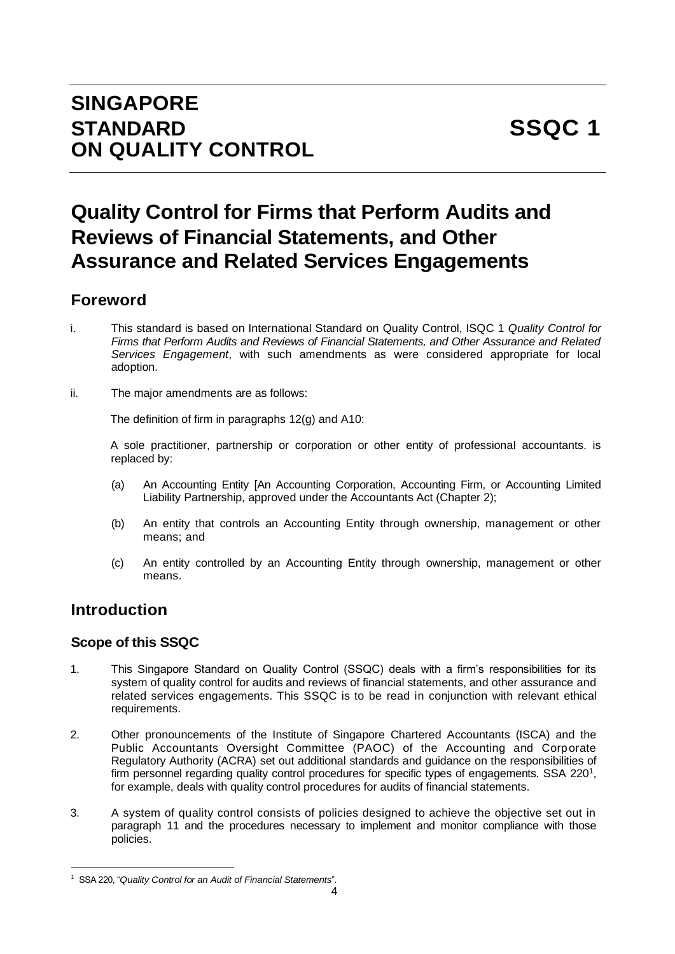# **Quality Control for Firms that Perform Audits and Reviews of Financial Statements, and Other Assurance and Related Services Engagements**

# **Foreword**

- i. This standard is based on International Standard on Quality Control, ISQC 1 *Quality Control for Firms that Perform Audits and Reviews of Financial Statements, and Other Assurance and Related Services Engagement*, with such amendments as were considered appropriate for local adoption.
- ii. The major amendments are as follows:

The definition of firm in paragraphs 12(g) and A10:

A sole practitioner, partnership or corporation or other entity of professional accountants. is replaced by:

- (a) An Accounting Entity [An Accounting Corporation, Accounting Firm, or Accounting Limited Liability Partnership, approved under the Accountants Act (Chapter 2);
- (b) An entity that controls an Accounting Entity through ownership, management or other means; and
- (c) An entity controlled by an Accounting Entity through ownership, management or other means.

# **Introduction**

# **Scope of this SSQC**

- 1. This Singapore Standard on Quality Control (SSQC) deals with a firm's responsibilities for its system of quality control for audits and reviews of financial statements, and other assurance and related services engagements. This SSQC is to be read in conjunction with relevant ethical requirements.
- 2. Other pronouncements of the Institute of Singapore Chartered Accountants (ISCA) and the Public Accountants Oversight Committee (PAOC) of the Accounting and Corporate Regulatory Authority (ACRA) set out additional standards and guidance on the responsibilities of firm personnel regarding quality control procedures for specific types of engagements. SSA 220<sup>1</sup>, for example, deals with quality control procedures for audits of financial statements.
- 3. A system of quality control consists of policies designed to achieve the objective set out in paragraph 11 and the procedures necessary to implement and monitor compliance with those policies.

<sup>1</sup> SSA 220, "*Quality Control for an Audit of Financial Statements*".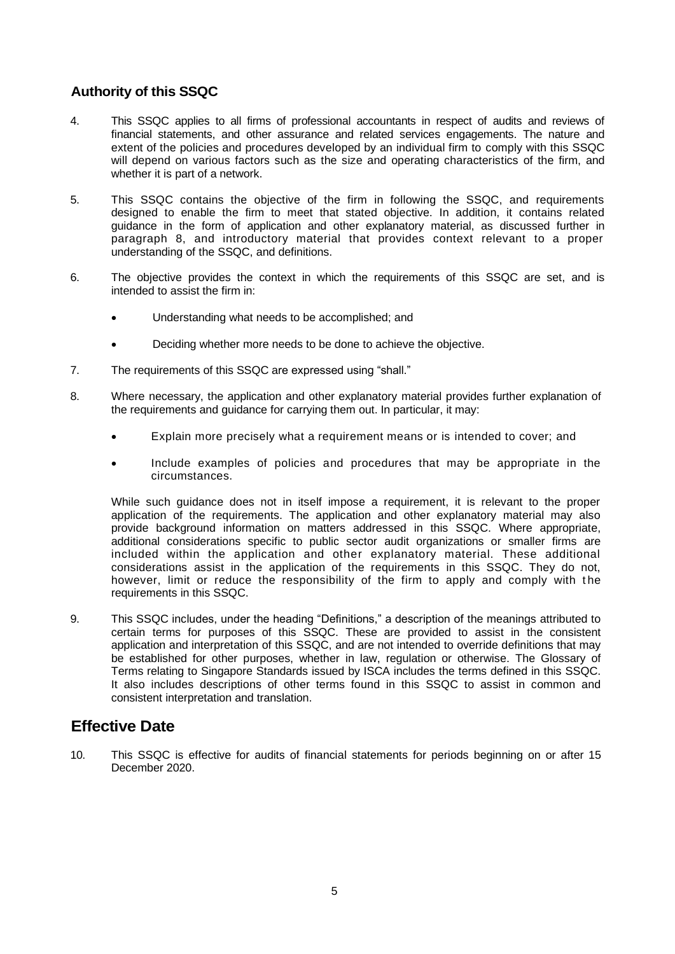# **Authority of this SSQC**

- 4. This SSQC applies to all firms of professional accountants in respect of audits and reviews of financial statements, and other assurance and related services engagements. The nature and extent of the policies and procedures developed by an individual firm to comply with this SSQC will depend on various factors such as the size and operating characteristics of the firm, and whether it is part of a network.
- 5. This SSQC contains the objective of the firm in following the SSQC, and requirements designed to enable the firm to meet that stated objective. In addition, it contains related guidance in the form of application and other explanatory material, as discussed further in paragraph 8, and introductory material that provides context relevant to a proper understanding of the SSQC, and definitions.
- 6. The objective provides the context in which the requirements of this SSQC are set, and is intended to assist the firm in:
	- Understanding what needs to be accomplished; and
	- Deciding whether more needs to be done to achieve the objective.
- 7. The requirements of this SSQC are expressed using "shall."
- 8. Where necessary, the application and other explanatory material provides further explanation of the requirements and guidance for carrying them out. In particular, it may:
	- Explain more precisely what a requirement means or is intended to cover; and
	- Include examples of policies and procedures that may be appropriate in the circumstances.

While such guidance does not in itself impose a requirement, it is relevant to the proper application of the requirements. The application and other explanatory material may also provide background information on matters addressed in this SSQC. Where appropriate, additional considerations specific to public sector audit organizations or smaller firms are included within the application and other explanatory material. These additional considerations assist in the application of the requirements in this SSQC. They do not, however, limit or reduce the responsibility of the firm to apply and comply with the requirements in this SSQC.

9. This SSQC includes, under the heading "Definitions," a description of the meanings attributed to certain terms for purposes of this SSQC. These are provided to assist in the consistent application and interpretation of this SSQC, and are not intended to override definitions that may be established for other purposes, whether in law, regulation or otherwise. The Glossary of Terms relating to Singapore Standards issued by ISCA includes the terms defined in this SSQC. It also includes descriptions of other terms found in this SSQC to assist in common and consistent interpretation and translation.

# **Effective Date**

10. This SSQC is effective for audits of financial statements for periods beginning on or after 15 December 2020.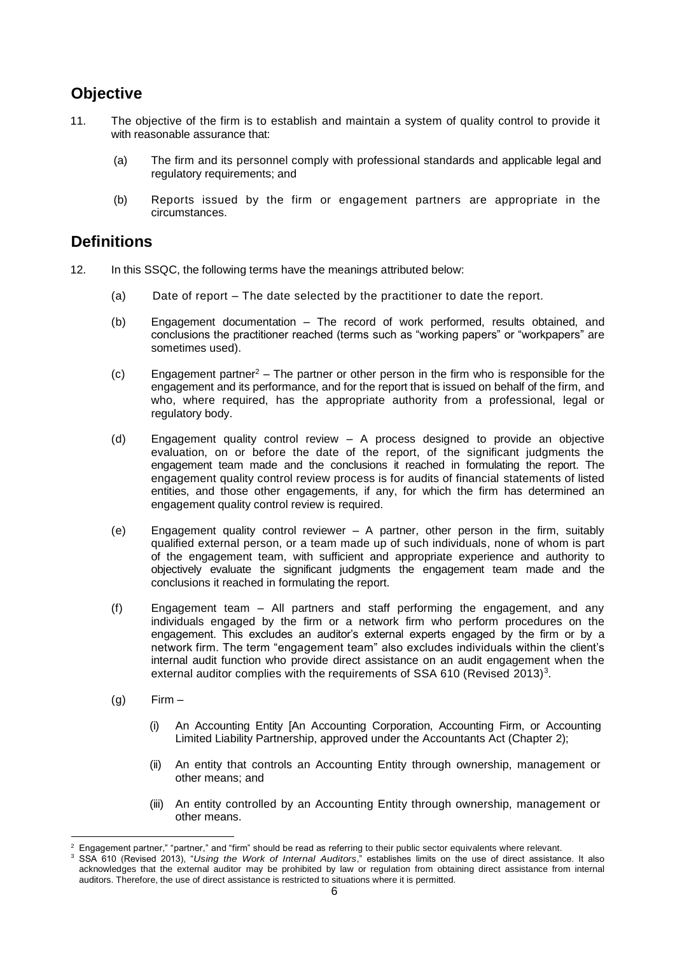# **Objective**

- 11. The objective of the firm is to establish and maintain a system of quality control to provide it with reasonable assurance that:
	- (a) The firm and its personnel comply with professional standards and applicable legal and regulatory requirements; and
	- (b) Reports issued by the firm or engagement partners are appropriate in the circumstances.

# **Definitions**

- 12. In this SSQC, the following terms have the meanings attributed below:
	- (a) Date of report The date selected by the practitioner to date the report.
	- (b) Engagement documentation The record of work performed, results obtained, and conclusions the practitioner reached (terms such as "working papers" or "workpapers" are sometimes used).
	- (c) Engagement partner<sup>2</sup> The partner or other person in the firm who is responsible for the engagement and its performance, and for the report that is issued on behalf of the firm, and who, where required, has the appropriate authority from a professional, legal or regulatory body.
	- (d) Engagement quality control review A process designed to provide an objective evaluation, on or before the date of the report, of the significant judgments the engagement team made and the conclusions it reached in formulating the report. The engagement quality control review process is for audits of financial statements of listed entities, and those other engagements, if any, for which the firm has determined an engagement quality control review is required.
	- (e) Engagement quality control reviewer A partner, other person in the firm, suitably qualified external person, or a team made up of such individuals, none of whom is part of the engagement team, with sufficient and appropriate experience and authority to objectively evaluate the significant judgments the engagement team made and the conclusions it reached in formulating the report.
	- (f) Engagement team All partners and staff performing the engagement, and any individuals engaged by the firm or a network firm who perform procedures on the engagement. This excludes an auditor's external experts engaged by the firm or by a network firm. The term "engagement team" also excludes individuals within the client's internal audit function who provide direct assistance on an audit engagement when the external auditor complies with the requirements of SSA 610 (Revised 2013)<sup>3</sup>.
	- $(g)$  Firm
		- (i) An Accounting Entity [An Accounting Corporation, Accounting Firm, or Accounting Limited Liability Partnership, approved under the Accountants Act (Chapter 2);
		- (ii) An entity that controls an Accounting Entity through ownership, management or other means; and
		- (iii) An entity controlled by an Accounting Entity through ownership, management or other means.

<sup>2</sup> Engagement partner," "partner," and "firm" should be read as referring to their public sector equivalents where relevant.

<sup>3</sup> SSA 610 (Revised 2013), "*Using the Work of Internal Auditors*," establishes limits on the use of direct assistance. It also acknowledges that the external auditor may be prohibited by law or regulation from obtaining direct assistance from internal auditors. Therefore, the use of direct assistance is restricted to situations where it is permitted.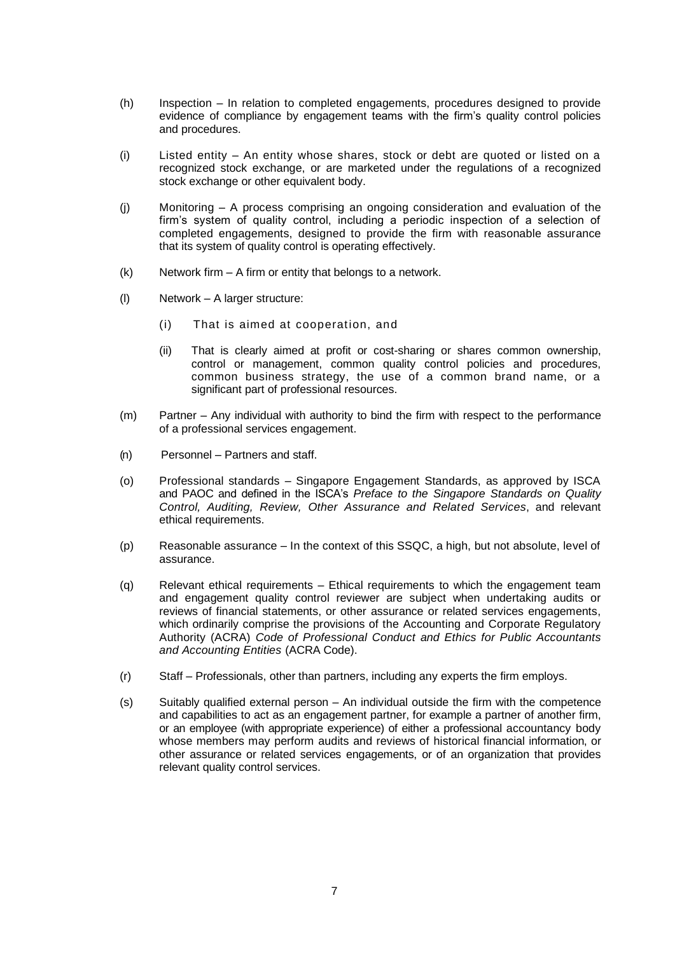- (h) Inspection In relation to completed engagements, procedures designed to provide evidence of compliance by engagement teams with the firm's quality control policies and procedures.
- (i) Listed entity An entity whose shares, stock or debt are quoted or listed on a recognized stock exchange, or are marketed under the regulations of a recognized stock exchange or other equivalent body.
- (j) Monitoring A process comprising an ongoing consideration and evaluation of the firm's system of quality control, including a periodic inspection of a selection of completed engagements, designed to provide the firm with reasonable assurance that its system of quality control is operating effectively.
- (k) Network firm A firm or entity that belongs to a network.
- (l) Network A larger structure:
	- (i) That is aimed at cooperation, and
	- (ii) That is clearly aimed at profit or cost-sharing or shares common ownership, control or management, common quality control policies and procedures, common business strategy, the use of a common brand name, or a significant part of professional resources.
- (m) Partner Any individual with authority to bind the firm with respect to the performance of a professional services engagement.
- (n) Personnel Partners and staff.
- (o) Professional standards Singapore Engagement Standards, as approved by ISCA and PAOC and defined in the ISCA's *Preface to the Singapore Standards on Quality Control, Auditing, Review, Other Assurance and Related Services*, and relevant ethical requirements.
- (p) Reasonable assurance In the context of this SSQC, a high, but not absolute, level of assurance.
- (q) Relevant ethical requirements Ethical requirements to which the engagement team and engagement quality control reviewer are subject when undertaking audits or reviews of financial statements, or other assurance or related services engagements, which ordinarily comprise the provisions of the Accounting and Corporate Regulatory Authority (ACRA) *Code of Professional Conduct and Ethics for Public Accountants and Accounting Entities* (ACRA Code).
- (r) Staff Professionals, other than partners, including any experts the firm employs.
- (s) Suitably qualified external person An individual outside the firm with the competence and capabilities to act as an engagement partner, for example a partner of another firm, or an employee (with appropriate experience) of either a professional accountancy body whose members may perform audits and reviews of historical financial information, or other assurance or related services engagements, or of an organization that provides relevant quality control services.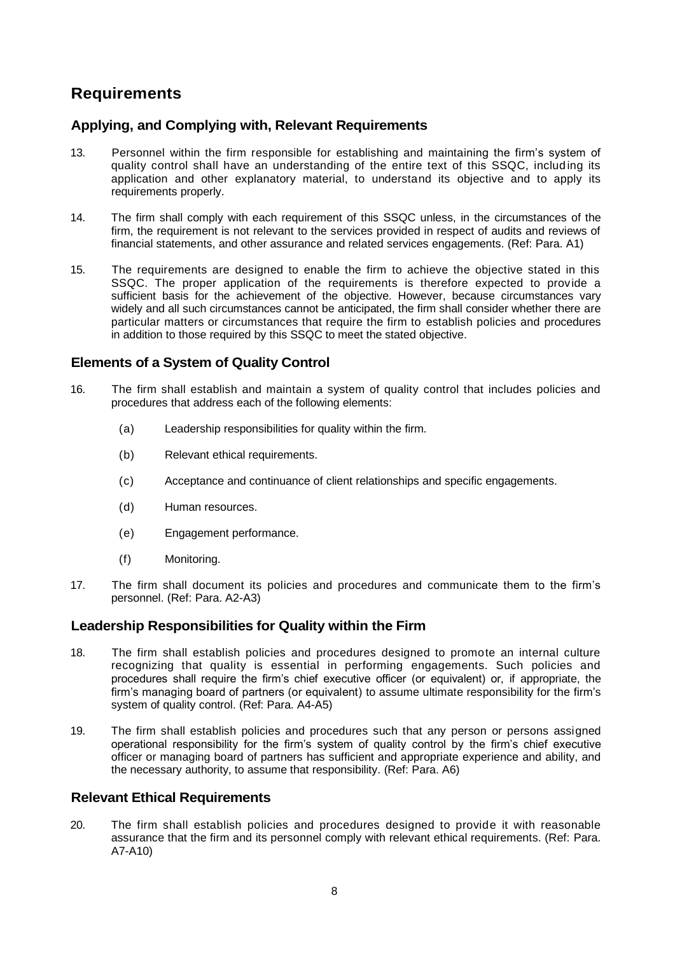# **Requirements**

# **Applying, and Complying with, Relevant Requirements**

- 13. Personnel within the firm responsible for establishing and maintaining the firm's system of quality control shall have an understanding of the entire text of this SSQC, includ ing its application and other explanatory material, to understand its objective and to apply its requirements properly.
- 14. The firm shall comply with each requirement of this SSQC unless, in the circumstances of the firm, the requirement is not relevant to the services provided in respect of audits and reviews of financial statements, and other assurance and related services engagements. (Ref: Para. A1)
- 15. The requirements are designed to enable the firm to achieve the objective stated in this SSQC. The proper application of the requirements is therefore expected to provide a sufficient basis for the achievement of the objective. However, because circumstances vary widely and all such circumstances cannot be anticipated, the firm shall consider whether there are particular matters or circumstances that require the firm to establish policies and procedures in addition to those required by this SSQC to meet the stated objective.

# **Elements of a System of Quality Control**

- 16. The firm shall establish and maintain a system of quality control that includes policies and procedures that address each of the following elements:
	- (a) Leadership responsibilities for quality within the firm.
	- (b) Relevant ethical requirements.
	- (c) Acceptance and continuance of client relationships and specific engagements.
	- (d) Human resources.
	- (e) Engagement performance.
	- (f) Monitoring.
- 17. The firm shall document its policies and procedures and communicate them to the firm's personnel. (Ref: Para. A2-A3)

## **Leadership Responsibilities for Quality within the Firm**

- 18. The firm shall establish policies and procedures designed to promote an internal culture recognizing that quality is essential in performing engagements. Such policies and procedures shall require the firm's chief executive officer (or equivalent) or, if appropriate, the firm's managing board of partners (or equivalent) to assume ultimate responsibility for the firm's system of quality control. (Ref: Para. A4-A5)
- 19. The firm shall establish policies and procedures such that any person or persons assigned operational responsibility for the firm's system of quality control by the firm's chief executive officer or managing board of partners has sufficient and appropriate experience and ability, and the necessary authority, to assume that responsibility. (Ref: Para. A6)

### **Relevant Ethical Requirements**

20. The firm shall establish policies and procedures designed to provide it with reasonable assurance that the firm and its personnel comply with relevant ethical requirements. (Ref: Para. A7-A10)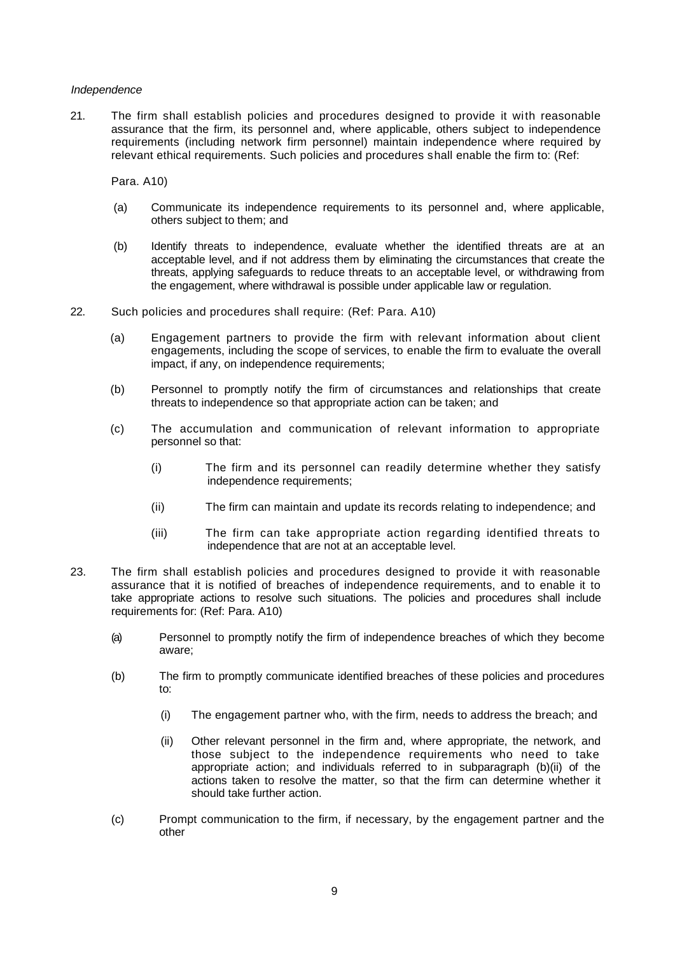#### *Independence*

21. The firm shall establish policies and procedures designed to provide it with reasonable assurance that the firm, its personnel and, where applicable, others subject to independence requirements (including network firm personnel) maintain independence where required by relevant ethical requirements. Such policies and procedures shall enable the firm to: (Ref:

Para. A10)

- (a) Communicate its independence requirements to its personnel and, where applicable, others subject to them; and
- (b) Identify threats to independence, evaluate whether the identified threats are at an acceptable level, and if not address them by eliminating the circumstances that create the threats, applying safeguards to reduce threats to an acceptable level, or withdrawing from the engagement, where withdrawal is possible under applicable law or regulation.
- 22. Such policies and procedures shall require: (Ref: Para. A10)
	- (a) Engagement partners to provide the firm with relevant information about client engagements, including the scope of services, to enable the firm to evaluate the overall impact, if any, on independence requirements;
	- (b) Personnel to promptly notify the firm of circumstances and relationships that create threats to independence so that appropriate action can be taken; and
	- (c) The accumulation and communication of relevant information to appropriate personnel so that:
		- (i) The firm and its personnel can readily determine whether they satisfy independence requirements;
		- (ii) The firm can maintain and update its records relating to independence; and
		- (iii) The firm can take appropriate action regarding identified threats to independence that are not at an acceptable level.
- 23. The firm shall establish policies and procedures designed to provide it with reasonable assurance that it is notified of breaches of independence requirements, and to enable it to take appropriate actions to resolve such situations. The policies and procedures shall include requirements for: (Ref: Para. A10)
	- (a) Personnel to promptly notify the firm of independence breaches of which they become aware;
	- (b) The firm to promptly communicate identified breaches of these policies and procedures to:
		- (i) The engagement partner who, with the firm, needs to address the breach; and
		- (ii) Other relevant personnel in the firm and, where appropriate, the network, and those subject to the independence requirements who need to take appropriate action; and individuals referred to in subparagraph (b)(ii) of the actions taken to resolve the matter, so that the firm can determine whether it should take further action.
	- (c) Prompt communication to the firm, if necessary, by the engagement partner and the other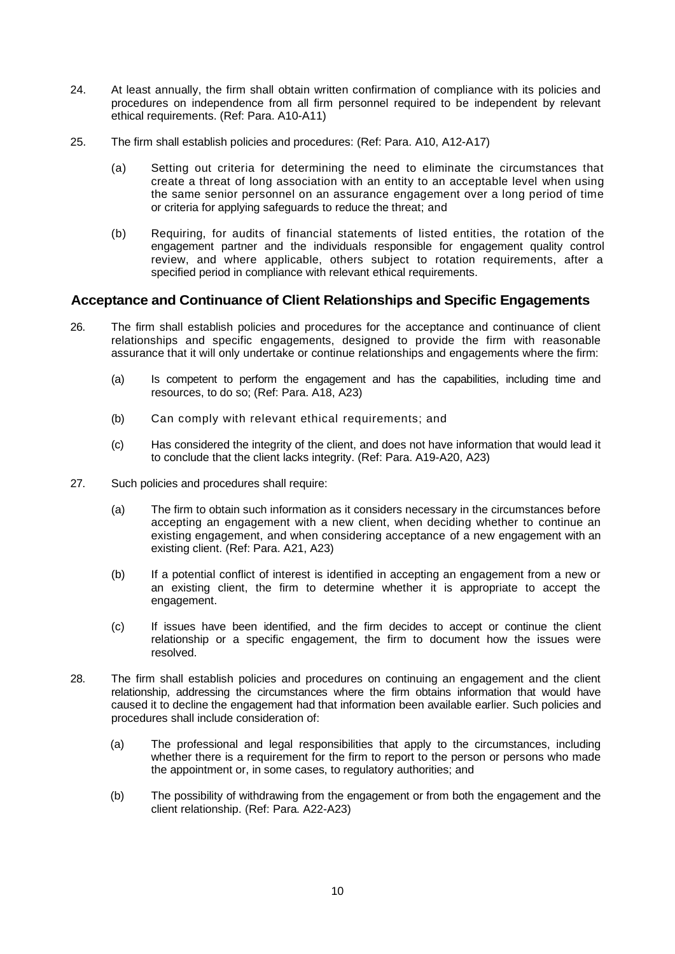- 24. At least annually, the firm shall obtain written confirmation of compliance with its policies and procedures on independence from all firm personnel required to be independent by relevant ethical requirements. (Ref: Para. A10-A11)
- 25. The firm shall establish policies and procedures: (Ref: Para. A10, A12-A17)
	- (a) Setting out criteria for determining the need to eliminate the circumstances that create a threat of long association with an entity to an acceptable level when using the same senior personnel on an assurance engagement over a long period of time or criteria for applying safeguards to reduce the threat; and
	- (b) Requiring, for audits of financial statements of listed entities, the rotation of the engagement partner and the individuals responsible for engagement quality control review, and where applicable, others subject to rotation requirements, after a specified period in compliance with relevant ethical requirements.

### **Acceptance and Continuance of Client Relationships and Specific Engagements**

- 26. The firm shall establish policies and procedures for the acceptance and continuance of client relationships and specific engagements, designed to provide the firm with reasonable assurance that it will only undertake or continue relationships and engagements where the firm:
	- (a) Is competent to perform the engagement and has the capabilities, including time and resources, to do so; (Ref: Para. A18, A23)
	- (b) Can comply with relevant ethical requirements; and
	- (c) Has considered the integrity of the client, and does not have information that would lead it to conclude that the client lacks integrity. (Ref: Para. A19-A20, A23)
- 27. Such policies and procedures shall require:
	- (a) The firm to obtain such information as it considers necessary in the circumstances before accepting an engagement with a new client, when deciding whether to continue an existing engagement, and when considering acceptance of a new engagement with an existing client. (Ref: Para. A21, A23)
	- (b) If a potential conflict of interest is identified in accepting an engagement from a new or an existing client, the firm to determine whether it is appropriate to accept the engagement.
	- (c) If issues have been identified, and the firm decides to accept or continue the client relationship or a specific engagement, the firm to document how the issues were resolved.
- 28. The firm shall establish policies and procedures on continuing an engagement and the client relationship, addressing the circumstances where the firm obtains information that would have caused it to decline the engagement had that information been available earlier. Such policies and procedures shall include consideration of:
	- (a) The professional and legal responsibilities that apply to the circumstances, including whether there is a requirement for the firm to report to the person or persons who made the appointment or, in some cases, to regulatory authorities; and
	- (b) The possibility of withdrawing from the engagement or from both the engagement and the client relationship. (Ref: Para. A22-A23)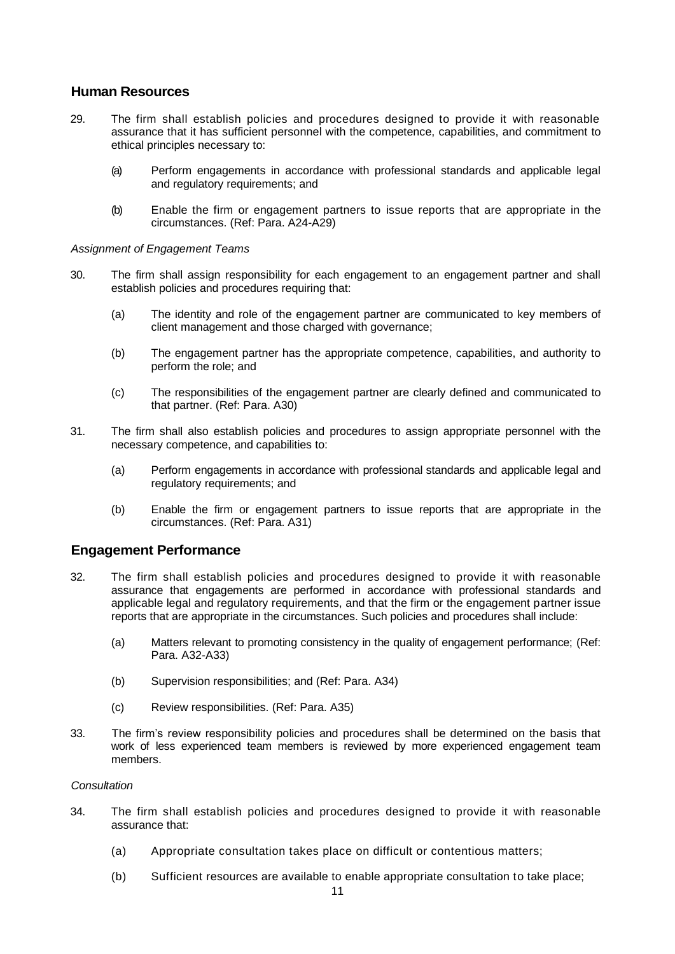### **Human Resources**

- 29. The firm shall establish policies and procedures designed to provide it with reasonable assurance that it has sufficient personnel with the competence, capabilities, and commitment to ethical principles necessary to:
	- (a) Perform engagements in accordance with professional standards and applicable legal and regulatory requirements; and
	- (b) Enable the firm or engagement partners to issue reports that are appropriate in the circumstances. (Ref: Para. A24-A29)

#### *Assignment of Engagement Teams*

- 30. The firm shall assign responsibility for each engagement to an engagement partner and shall establish policies and procedures requiring that:
	- (a) The identity and role of the engagement partner are communicated to key members of client management and those charged with governance;
	- (b) The engagement partner has the appropriate competence, capabilities, and authority to perform the role; and
	- (c) The responsibilities of the engagement partner are clearly defined and communicated to that partner. (Ref: Para. A30)
- 31. The firm shall also establish policies and procedures to assign appropriate personnel with the necessary competence, and capabilities to:
	- (a) Perform engagements in accordance with professional standards and applicable legal and regulatory requirements; and
	- (b) Enable the firm or engagement partners to issue reports that are appropriate in the circumstances. (Ref: Para. A31)

## **Engagement Performance**

- 32. The firm shall establish policies and procedures designed to provide it with reasonable assurance that engagements are performed in accordance with professional standards and applicable legal and regulatory requirements, and that the firm or the engagement partner issue reports that are appropriate in the circumstances. Such policies and procedures shall include:
	- (a) Matters relevant to promoting consistency in the quality of engagement performance; (Ref: Para. A32-A33)
	- (b) Supervision responsibilities; and (Ref: Para. A34)
	- (c) Review responsibilities. (Ref: Para. A35)
- 33. The firm's review responsibility policies and procedures shall be determined on the basis that work of less experienced team members is reviewed by more experienced engagement team members.

#### *Consultation*

- 34. The firm shall establish policies and procedures designed to provide it with reasonable assurance that:
	- (a) Appropriate consultation takes place on difficult or contentious matters;
	- (b) Sufficient resources are available to enable appropriate consultation to take place;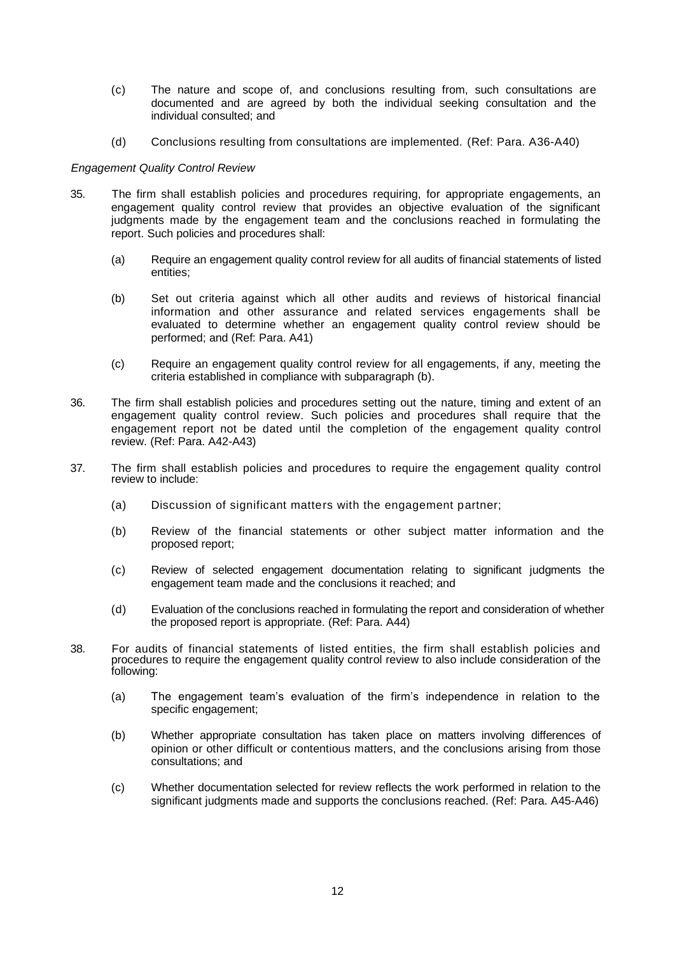- (c) The nature and scope of, and conclusions resulting from, such consultations are documented and are agreed by both the individual seeking consultation and the individual consulted; and
- (d) Conclusions resulting from consultations are implemented. (Ref: Para. A36-A40)

#### *Engagement Quality Control Review*

- 35. The firm shall establish policies and procedures requiring, for appropriate engagements, an engagement quality control review that provides an objective evaluation of the significant judgments made by the engagement team and the conclusions reached in formulating the report. Such policies and procedures shall:
	- (a) Require an engagement quality control review for all audits of financial statements of listed entities;
	- (b) Set out criteria against which all other audits and reviews of historical financial information and other assurance and related services engagements shall be evaluated to determine whether an engagement quality control review should be performed; and (Ref: Para. A41)
	- (c) Require an engagement quality control review for all engagements, if any, meeting the criteria established in compliance with subparagraph (b).
- 36. The firm shall establish policies and procedures setting out the nature, timing and extent of an engagement quality control review. Such policies and procedures shall require that the engagement report not be dated until the completion of the engagement quality control review. (Ref: Para. A42-A43)
- 37. The firm shall establish policies and procedures to require the engagement quality control review to include:
	- (a) Discussion of significant matters with the engagement partner;
	- (b) Review of the financial statements or other subject matter information and the proposed report;
	- (c) Review of selected engagement documentation relating to significant judgments the engagement team made and the conclusions it reached; and
	- (d) Evaluation of the conclusions reached in formulating the report and consideration of whether the proposed report is appropriate. (Ref: Para. A44)
- 38. For audits of financial statements of listed entities, the firm shall establish policies and procedures to require the engagement quality control review to also include consideration of the following:
	- (a) The engagement team's evaluation of the firm's independence in relation to the specific engagement;
	- (b) Whether appropriate consultation has taken place on matters involving differences of opinion or other difficult or contentious matters, and the conclusions arising from those consultations; and
	- (c) Whether documentation selected for review reflects the work performed in relation to the significant judgments made and supports the conclusions reached. (Ref: Para. A45-A46)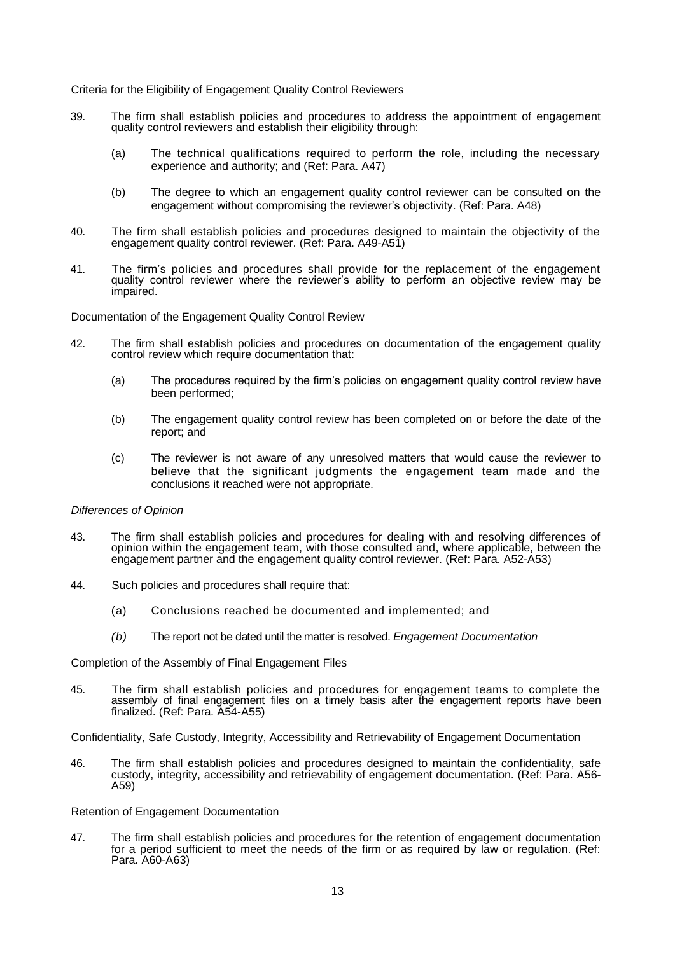Criteria for the Eligibility of Engagement Quality Control Reviewers

- 39. The firm shall establish policies and procedures to address the appointment of engagement quality control reviewers and establish their eligibility through:
	- (a) The technical qualifications required to perform the role, including the necessary experience and authority; and (Ref: Para. A47)
	- (b) The degree to which an engagement quality control reviewer can be consulted on the engagement without compromising the reviewer's objectivity. (Ref: Para. A48)
- 40. The firm shall establish policies and procedures designed to maintain the objectivity of the engagement quality control reviewer. (Ref: Para. A49-A51)
- 41. The firm's policies and procedures shall provide for the replacement of the engagement quality control reviewer where the reviewer's ability to perform an objective review may be impaired.

Documentation of the Engagement Quality Control Review

- 42. The firm shall establish policies and procedures on documentation of the engagement quality control review which require documentation that:
	- (a) The procedures required by the firm's policies on engagement quality control review have been performed;
	- (b) The engagement quality control review has been completed on or before the date of the report; and
	- (c) The reviewer is not aware of any unresolved matters that would cause the reviewer to believe that the significant judgments the engagement team made and the conclusions it reached were not appropriate.

#### *Differences of Opinion*

- 43. The firm shall establish policies and procedures for dealing with and resolving differences of opinion within the engagement team, with those consulted and, where applicable, between the engagement partner and the engagement quality control reviewer. (Ref: Para. A52-A53)
- 44. Such policies and procedures shall require that:
	- (a) Conclusions reached be documented and implemented; and
	- *(b)* The report not be dated until the matter is resolved. *Engagement Documentation*

Completion of the Assembly of Final Engagement Files

45. The firm shall establish policies and procedures for engagement teams to complete the assembly of final engagement files on a timely basis after the engagement reports have been finalized. (Ref: Para. A54-A55)

Confidentiality, Safe Custody, Integrity, Accessibility and Retrievability of Engagement Documentation

46. The firm shall establish policies and procedures designed to maintain the confidentiality, safe custody, integrity, accessibility and retrievability of engagement documentation. (Ref: Para. A56- A59)

#### Retention of Engagement Documentation

47. The firm shall establish policies and procedures for the retention of engagement documentation for a period sufficient to meet the needs of the firm or as required by law or regulation. (Ref: Para. A60-A63)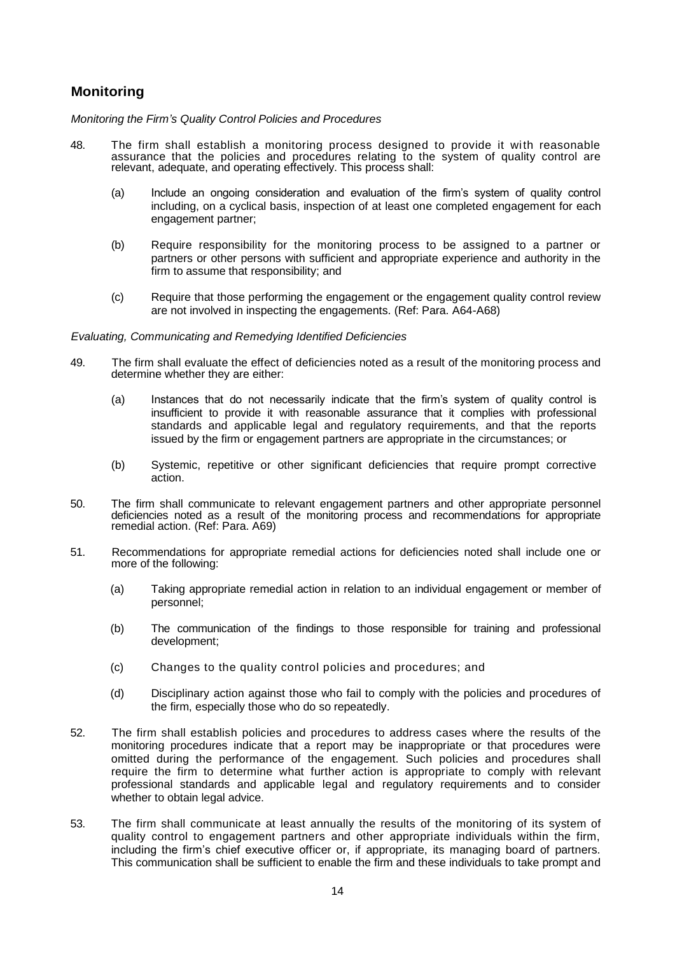# **Monitoring**

*Monitoring the Firm's Quality Control Policies and Procedures*

- 48. The firm shall establish a monitoring process designed to provide it with reasonable assurance that the policies and procedures relating to the system of quality control are relevant, adequate, and operating effectively. This process shall:
	- (a) Include an ongoing consideration and evaluation of the firm's system of quality control including, on a cyclical basis, inspection of at least one completed engagement for each engagement partner;
	- (b) Require responsibility for the monitoring process to be assigned to a partner or partners or other persons with sufficient and appropriate experience and authority in the firm to assume that responsibility; and
	- (c) Require that those performing the engagement or the engagement quality control review are not involved in inspecting the engagements. (Ref: Para. A64-A68)

#### *Evaluating, Communicating and Remedying Identified Deficiencies*

- 49. The firm shall evaluate the effect of deficiencies noted as a result of the monitoring process and determine whether they are either:
	- (a) Instances that do not necessarily indicate that the firm's system of quality control is insufficient to provide it with reasonable assurance that it complies with professional standards and applicable legal and regulatory requirements, and that the reports issued by the firm or engagement partners are appropriate in the circumstances; or
	- (b) Systemic, repetitive or other significant deficiencies that require prompt corrective action.
- 50. The firm shall communicate to relevant engagement partners and other appropriate personnel deficiencies noted as a result of the monitoring process and recommendations for appropriate remedial action. (Ref: Para. A69)
- 51. Recommendations for appropriate remedial actions for deficiencies noted shall include one or more of the following:
	- (a) Taking appropriate remedial action in relation to an individual engagement or member of personnel;
	- (b) The communication of the findings to those responsible for training and professional development;
	- (c) Changes to the quality control policies and procedures; and
	- (d) Disciplinary action against those who fail to comply with the policies and procedures of the firm, especially those who do so repeatedly.
- 52. The firm shall establish policies and procedures to address cases where the results of the monitoring procedures indicate that a report may be inappropriate or that procedures were omitted during the performance of the engagement. Such policies and procedures shall require the firm to determine what further action is appropriate to comply with relevant professional standards and applicable legal and regulatory requirements and to consider whether to obtain legal advice.
- 53. The firm shall communicate at least annually the results of the monitoring of its system of quality control to engagement partners and other appropriate individuals within the firm, including the firm's chief executive officer or, if appropriate, its managing board of partners. This communication shall be sufficient to enable the firm and these individuals to take prompt and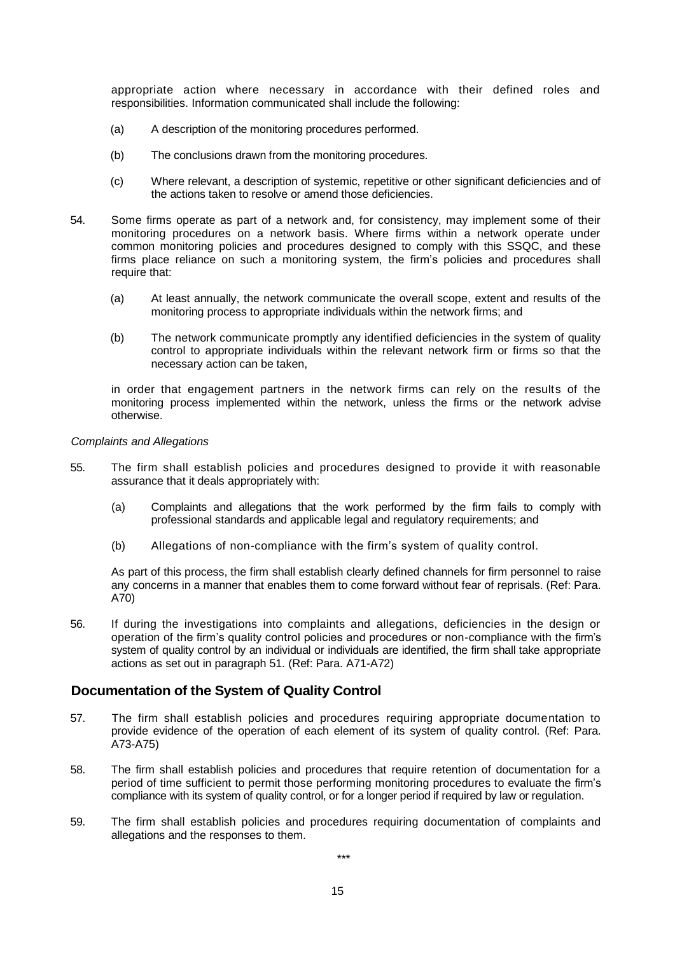appropriate action where necessary in accordance with their defined roles and responsibilities. Information communicated shall include the following:

- (a) A description of the monitoring procedures performed.
- (b) The conclusions drawn from the monitoring procedures.
- (c) Where relevant, a description of systemic, repetitive or other significant deficiencies and of the actions taken to resolve or amend those deficiencies.
- 54. Some firms operate as part of a network and, for consistency, may implement some of their monitoring procedures on a network basis. Where firms within a network operate under common monitoring policies and procedures designed to comply with this SSQC, and these firms place reliance on such a monitoring system, the firm's policies and procedures shall require that:
	- (a) At least annually, the network communicate the overall scope, extent and results of the monitoring process to appropriate individuals within the network firms; and
	- (b) The network communicate promptly any identified deficiencies in the system of quality control to appropriate individuals within the relevant network firm or firms so that the necessary action can be taken,

in order that engagement partners in the network firms can rely on the results of the monitoring process implemented within the network, unless the firms or the network advise otherwise.

#### *Complaints and Allegations*

- 55. The firm shall establish policies and procedures designed to provide it with reasonable assurance that it deals appropriately with:
	- (a) Complaints and allegations that the work performed by the firm fails to comply with professional standards and applicable legal and regulatory requirements; and
	- (b) Allegations of non-compliance with the firm's system of quality control.

As part of this process, the firm shall establish clearly defined channels for firm personnel to raise any concerns in a manner that enables them to come forward without fear of reprisals. (Ref: Para. A70)

56. If during the investigations into complaints and allegations, deficiencies in the design or operation of the firm's quality control policies and procedures or non-compliance with the firm's system of quality control by an individual or individuals are identified, the firm shall take appropriate actions as set out in paragraph 51. (Ref: Para. A71-A72)

## **Documentation of the System of Quality Control**

- 57. The firm shall establish policies and procedures requiring appropriate documentation to provide evidence of the operation of each element of its system of quality control. (Ref: Para. A73-A75)
- 58. The firm shall establish policies and procedures that require retention of documentation for a period of time sufficient to permit those performing monitoring procedures to evaluate the firm's compliance with its system of quality control, or for a longer period if required by law or regulation.
- 59. The firm shall establish policies and procedures requiring documentation of complaints and allegations and the responses to them.

\*\*\*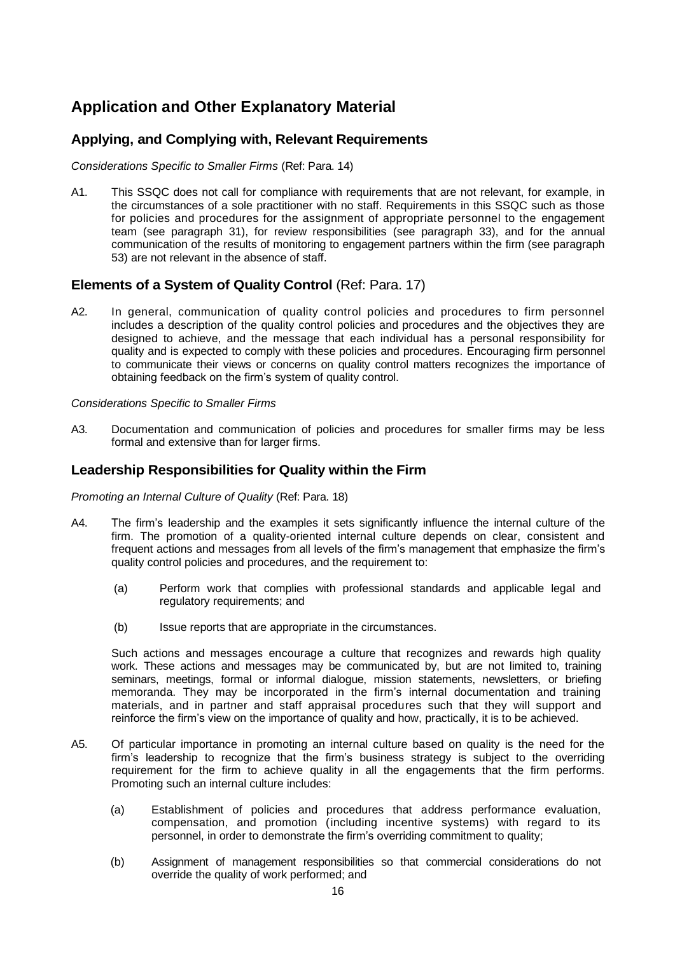# **Application and Other Explanatory Material**

# **Applying, and Complying with, Relevant Requirements**

*Considerations Specific to Smaller Firms* (Ref: Para. 14)

A1. This SSQC does not call for compliance with requirements that are not relevant, for example, in the circumstances of a sole practitioner with no staff. Requirements in this SSQC such as those for policies and procedures for the assignment of appropriate personnel to the engagement team (see paragraph 31), for review responsibilities (see paragraph 33), and for the annual communication of the results of monitoring to engagement partners within the firm (see paragraph 53) are not relevant in the absence of staff.

# **Elements of a System of Quality Control (Ref: Para. 17)**

A2. In general, communication of quality control policies and procedures to firm personnel includes a description of the quality control policies and procedures and the objectives they are designed to achieve, and the message that each individual has a personal responsibility for quality and is expected to comply with these policies and procedures. Encouraging firm personnel to communicate their views or concerns on quality control matters recognizes the importance of obtaining feedback on the firm's system of quality control.

*Considerations Specific to Smaller Firms*

A3. Documentation and communication of policies and procedures for smaller firms may be less formal and extensive than for larger firms.

# **Leadership Responsibilities for Quality within the Firm**

*Promoting an Internal Culture of Quality* (Ref: Para. 18)

- A4. The firm's leadership and the examples it sets significantly influence the internal culture of the firm. The promotion of a quality-oriented internal culture depends on clear, consistent and frequent actions and messages from all levels of the firm's management that emphasize the firm's quality control policies and procedures, and the requirement to:
	- (a) Perform work that complies with professional standards and applicable legal and regulatory requirements; and
	- (b) Issue reports that are appropriate in the circumstances.

Such actions and messages encourage a culture that recognizes and rewards high quality work. These actions and messages may be communicated by, but are not limited to, training seminars, meetings, formal or informal dialogue, mission statements, newsletters, or briefing memoranda. They may be incorporated in the firm's internal documentation and training materials, and in partner and staff appraisal procedures such that they will support and reinforce the firm's view on the importance of quality and how, practically, it is to be achieved.

- A5. Of particular importance in promoting an internal culture based on quality is the need for the firm's leadership to recognize that the firm's business strategy is subject to the overriding requirement for the firm to achieve quality in all the engagements that the firm performs. Promoting such an internal culture includes:
	- (a) Establishment of policies and procedures that address performance evaluation, compensation, and promotion (including incentive systems) with regard to its personnel, in order to demonstrate the firm's overriding commitment to quality;
	- (b) Assignment of management responsibilities so that commercial considerations do not override the quality of work performed; and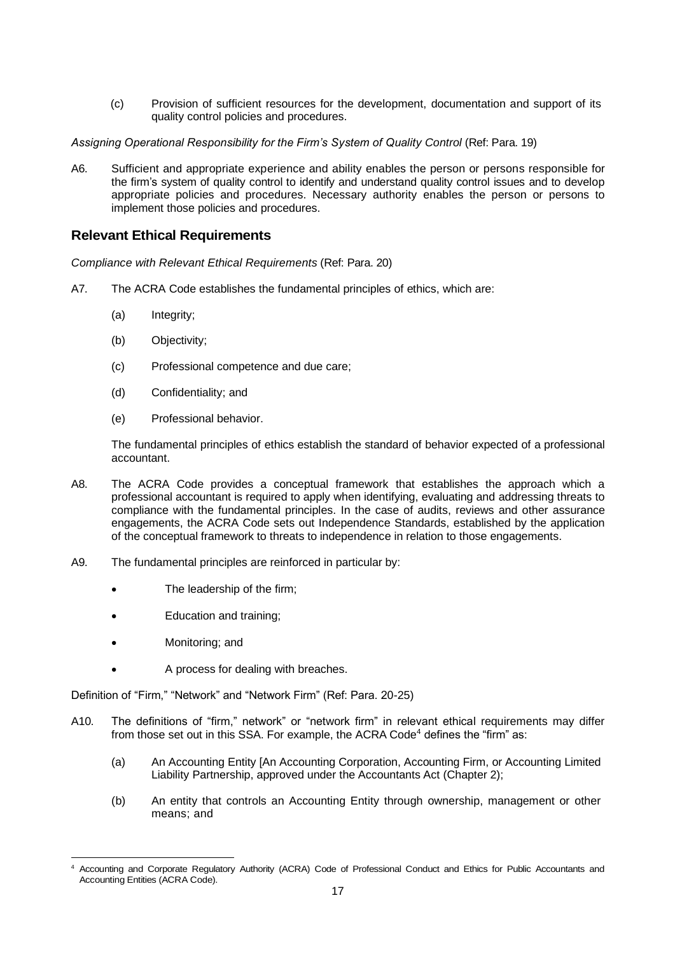(c) Provision of sufficient resources for the development, documentation and support of its quality control policies and procedures.

*Assigning Operational Responsibility for the Firm's System of Quality Control* (Ref: Para. 19)

A6. Sufficient and appropriate experience and ability enables the person or persons responsible for the firm's system of quality control to identify and understand quality control issues and to develop appropriate policies and procedures. Necessary authority enables the person or persons to implement those policies and procedures.

# **Relevant Ethical Requirements**

*Compliance with Relevant Ethical Requirements* (Ref: Para. 20)

- A7. The ACRA Code establishes the fundamental principles of ethics, which are:
	- (a) Integrity;
	- (b) Objectivity;
	- (c) Professional competence and due care;
	- (d) Confidentiality; and
	- (e) Professional behavior.

The fundamental principles of ethics establish the standard of behavior expected of a professional accountant.

- A8. The ACRA Code provides a conceptual framework that establishes the approach which a professional accountant is required to apply when identifying, evaluating and addressing threats to compliance with the fundamental principles. In the case of audits, reviews and other assurance engagements, the ACRA Code sets out Independence Standards, established by the application of the conceptual framework to threats to independence in relation to those engagements.
- A9. The fundamental principles are reinforced in particular by:
	- The leadership of the firm;
	- Education and training;
	- Monitoring; and
	- A process for dealing with breaches.

Definition of "Firm," "Network" and "Network Firm" (Ref: Para. 20-25)

- A10. The definitions of "firm," network" or "network firm" in relevant ethical requirements may differ from those set out in this SSA. For example, the ACRA Code<sup>4</sup> defines the "firm" as:
	- (a) An Accounting Entity [An Accounting Corporation, Accounting Firm, or Accounting Limited Liability Partnership, approved under the Accountants Act (Chapter 2);
	- (b) An entity that controls an Accounting Entity through ownership, management or other means; and

<sup>4</sup> Accounting and Corporate Regulatory Authority (ACRA) Code of Professional Conduct and Ethics for Public Accountants and Accounting Entities (ACRA Code).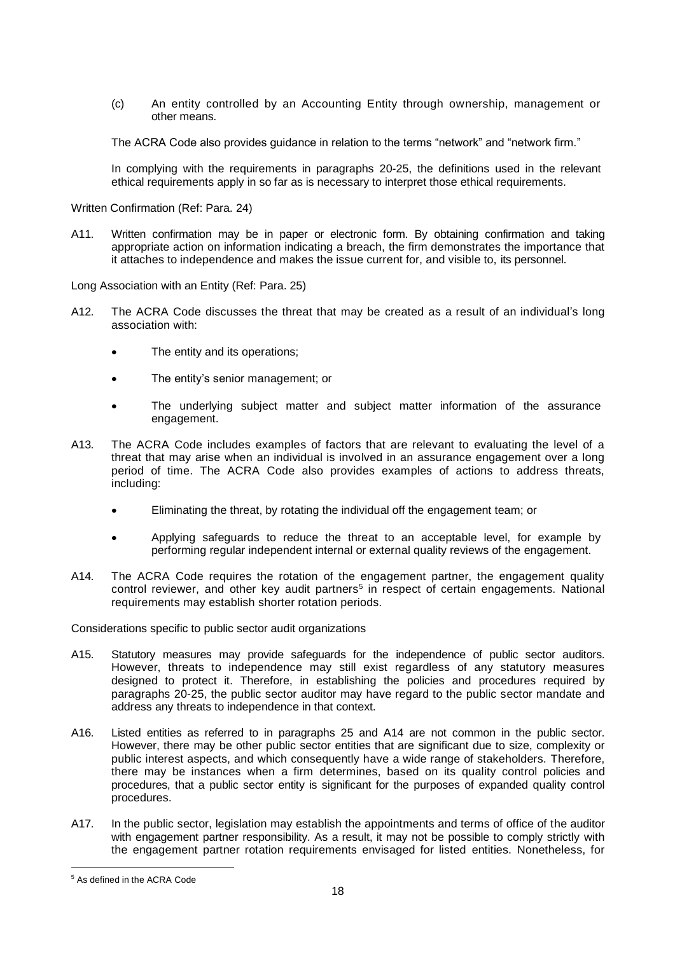(c) An entity controlled by an Accounting Entity through ownership, management or other means.

The ACRA Code also provides guidance in relation to the terms "network" and "network firm."

In complying with the requirements in paragraphs 20-25, the definitions used in the relevant ethical requirements apply in so far as is necessary to interpret those ethical requirements.

Written Confirmation (Ref: Para. 24)

A11. Written confirmation may be in paper or electronic form. By obtaining confirmation and taking appropriate action on information indicating a breach, the firm demonstrates the importance that it attaches to independence and makes the issue current for, and visible to, its personnel.

Long Association with an Entity (Ref: Para. 25)

- A12. The ACRA Code discusses the threat that may be created as a result of an individual's long association with:
	- The entity and its operations;
	- The entity's senior management; or
	- The underlying subject matter and subject matter information of the assurance engagement.
- A13. The ACRA Code includes examples of factors that are relevant to evaluating the level of a threat that may arise when an individual is involved in an assurance engagement over a long period of time. The ACRA Code also provides examples of actions to address threats, including:
	- Eliminating the threat, by rotating the individual off the engagement team; or
	- Applying safeguards to reduce the threat to an acceptable level, for example by performing regular independent internal or external quality reviews of the engagement.
- A14. The ACRA Code requires the rotation of the engagement partner, the engagement quality control reviewer, and other key audit partners<sup>5</sup> in respect of certain engagements. National requirements may establish shorter rotation periods.

Considerations specific to public sector audit organizations

- A15. Statutory measures may provide safeguards for the independence of public sector auditors. However, threats to independence may still exist regardless of any statutory measures designed to protect it. Therefore, in establishing the policies and procedures required by paragraphs 20-25, the public sector auditor may have regard to the public sector mandate and address any threats to independence in that context.
- A16. Listed entities as referred to in paragraphs 25 and A14 are not common in the public sector. However, there may be other public sector entities that are significant due to size, complexity or public interest aspects, and which consequently have a wide range of stakeholders. Therefore, there may be instances when a firm determines, based on its quality control policies and procedures, that a public sector entity is significant for the purposes of expanded quality control procedures.
- A17. In the public sector, legislation may establish the appointments and terms of office of the auditor with engagement partner responsibility. As a result, it may not be possible to comply strictly with the engagement partner rotation requirements envisaged for listed entities. Nonetheless, for

<sup>5</sup> As defined in the ACRA Code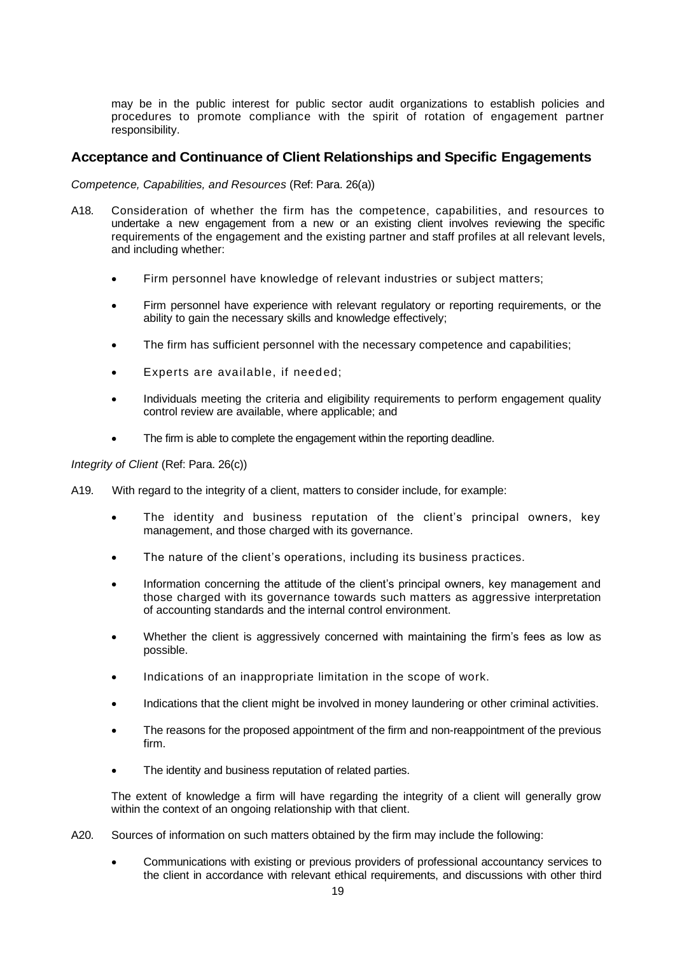may be in the public interest for public sector audit organizations to establish policies and procedures to promote compliance with the spirit of rotation of engagement partner responsibility.

## **Acceptance and Continuance of Client Relationships and Specific Engagements**

*Competence, Capabilities, and Resources* (Ref: Para. 26(a))

- A18. Consideration of whether the firm has the competence, capabilities, and resources to undertake a new engagement from a new or an existing client involves reviewing the specific requirements of the engagement and the existing partner and staff profiles at all relevant levels, and including whether:
	- Firm personnel have knowledge of relevant industries or subject matters;
	- Firm personnel have experience with relevant regulatory or reporting requirements, or the ability to gain the necessary skills and knowledge effectively;
	- The firm has sufficient personnel with the necessary competence and capabilities;
	- Experts are available, if needed:
	- Individuals meeting the criteria and eligibility requirements to perform engagement quality control review are available, where applicable; and
	- The firm is able to complete the engagement within the reporting deadline.

*Integrity of Client* (Ref: Para. 26(c))

- A19. With regard to the integrity of a client, matters to consider include, for example:
	- The identity and business reputation of the client's principal owners, key management, and those charged with its governance.
	- The nature of the client's operations, including its business practices.
	- Information concerning the attitude of the client's principal owners, key management and those charged with its governance towards such matters as aggressive interpretation of accounting standards and the internal control environment.
	- Whether the client is aggressively concerned with maintaining the firm's fees as low as possible.
	- Indications of an inappropriate limitation in the scope of work.
	- Indications that the client might be involved in money laundering or other criminal activities.
	- The reasons for the proposed appointment of the firm and non-reappointment of the previous firm.
	- The identity and business reputation of related parties.

The extent of knowledge a firm will have regarding the integrity of a client will generally grow within the context of an ongoing relationship with that client.

- A20. Sources of information on such matters obtained by the firm may include the following:
	- Communications with existing or previous providers of professional accountancy services to the client in accordance with relevant ethical requirements, and discussions with other third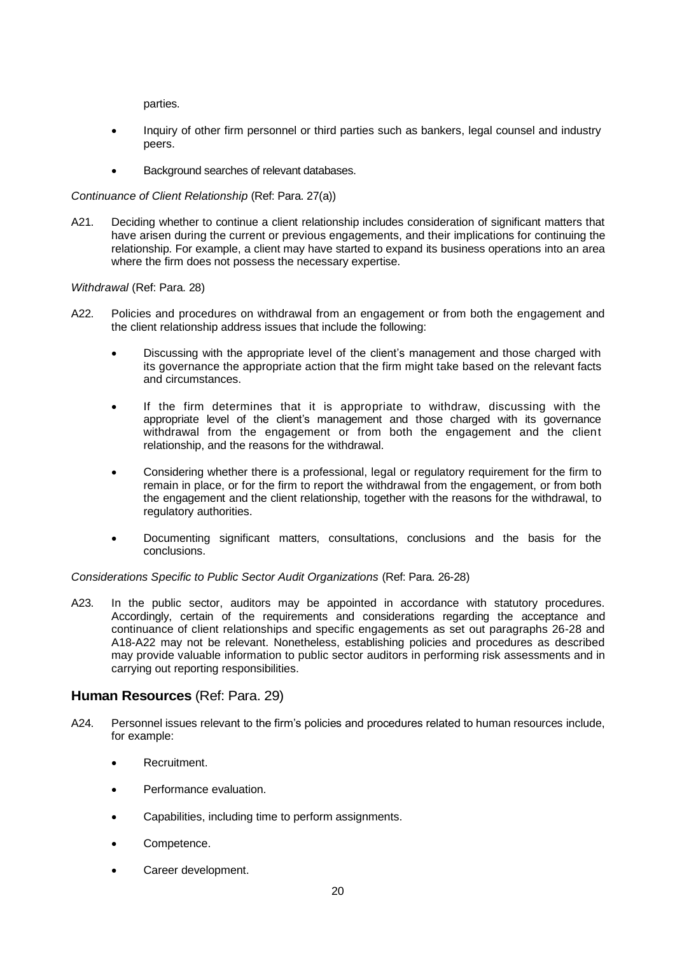parties.

- Inquiry of other firm personnel or third parties such as bankers, legal counsel and industry peers.
- Background searches of relevant databases.

#### *Continuance of Client Relationship* (Ref: Para. 27(a))

A21. Deciding whether to continue a client relationship includes consideration of significant matters that have arisen during the current or previous engagements, and their implications for continuing the relationship. For example, a client may have started to expand its business operations into an area where the firm does not possess the necessary expertise.

*Withdrawal* (Ref: Para. 28)

- A22. Policies and procedures on withdrawal from an engagement or from both the engagement and the client relationship address issues that include the following:
	- Discussing with the appropriate level of the client's management and those charged with its governance the appropriate action that the firm might take based on the relevant facts and circumstances.
	- If the firm determines that it is appropriate to withdraw, discussing with the appropriate level of the client's management and those charged with its governance withdrawal from the engagement or from both the engagement and the client relationship, and the reasons for the withdrawal.
	- Considering whether there is a professional, legal or regulatory requirement for the firm to remain in place, or for the firm to report the withdrawal from the engagement, or from both the engagement and the client relationship, together with the reasons for the withdrawal, to regulatory authorities.
	- Documenting significant matters, consultations, conclusions and the basis for the conclusions.

#### *Considerations Specific to Public Sector Audit Organizations* (Ref: Para. 26-28)

A23. In the public sector, auditors may be appointed in accordance with statutory procedures. Accordingly, certain of the requirements and considerations regarding the acceptance and continuance of client relationships and specific engagements as set out paragraphs 26-28 and A18-A22 may not be relevant. Nonetheless, establishing policies and procedures as described may provide valuable information to public sector auditors in performing risk assessments and in carrying out reporting responsibilities.

## **Human Resources** (Ref: Para. 29)

- A24. Personnel issues relevant to the firm's policies and procedures related to human resources include, for example:
	- **Recruitment**
	- Performance evaluation.
	- Capabilities, including time to perform assignments.
	- Competence.
	- Career development.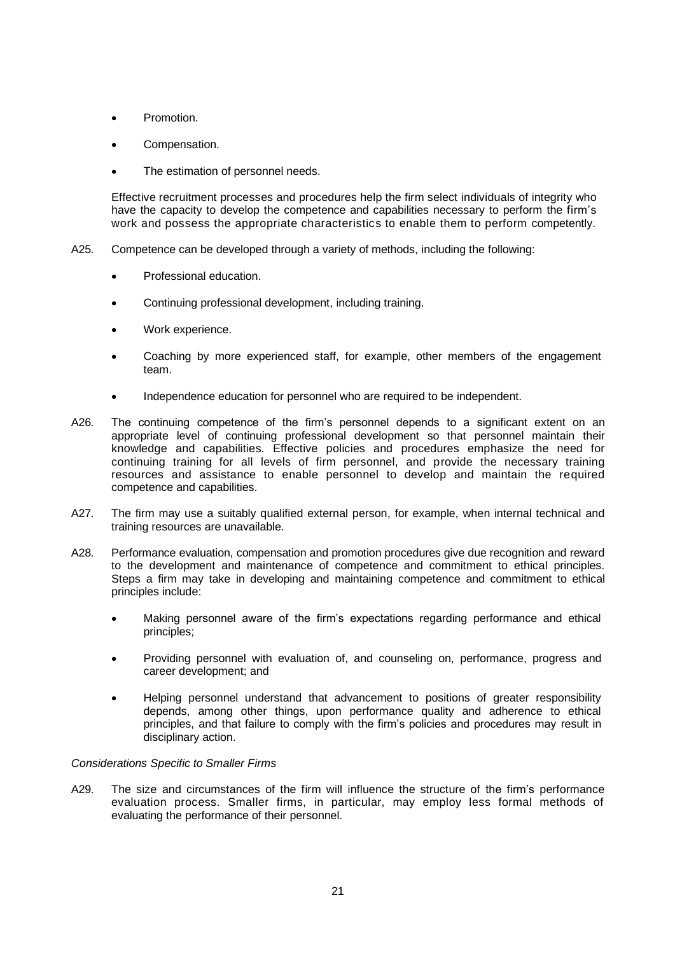- Promotion.
- Compensation.
- The estimation of personnel needs.

Effective recruitment processes and procedures help the firm select individuals of integrity who have the capacity to develop the competence and capabilities necessary to perform the firm's work and possess the appropriate characteristics to enable them to perform competently.

- A25. Competence can be developed through a variety of methods, including the following:
	- Professional education.
	- Continuing professional development, including training.
	- Work experience.
	- Coaching by more experienced staff, for example, other members of the engagement team.
	- Independence education for personnel who are required to be independent.
- A26. The continuing competence of the firm's personnel depends to a significant extent on an appropriate level of continuing professional development so that personnel maintain their knowledge and capabilities. Effective policies and procedures emphasize the need for continuing training for all levels of firm personnel, and provide the necessary training resources and assistance to enable personnel to develop and maintain the required competence and capabilities.
- A27. The firm may use a suitably qualified external person, for example, when internal technical and training resources are unavailable.
- A28. Performance evaluation, compensation and promotion procedures give due recognition and reward to the development and maintenance of competence and commitment to ethical principles. Steps a firm may take in developing and maintaining competence and commitment to ethical principles include:
	- Making personnel aware of the firm's expectations regarding performance and ethical principles;
	- Providing personnel with evaluation of, and counseling on, performance, progress and career development; and
	- Helping personnel understand that advancement to positions of greater responsibility depends, among other things, upon performance quality and adherence to ethical principles, and that failure to comply with the firm's policies and procedures may result in disciplinary action.

#### *Considerations Specific to Smaller Firms*

A29. The size and circumstances of the firm will influence the structure of the firm's performance evaluation process. Smaller firms, in particular, may employ less formal methods of evaluating the performance of their personnel.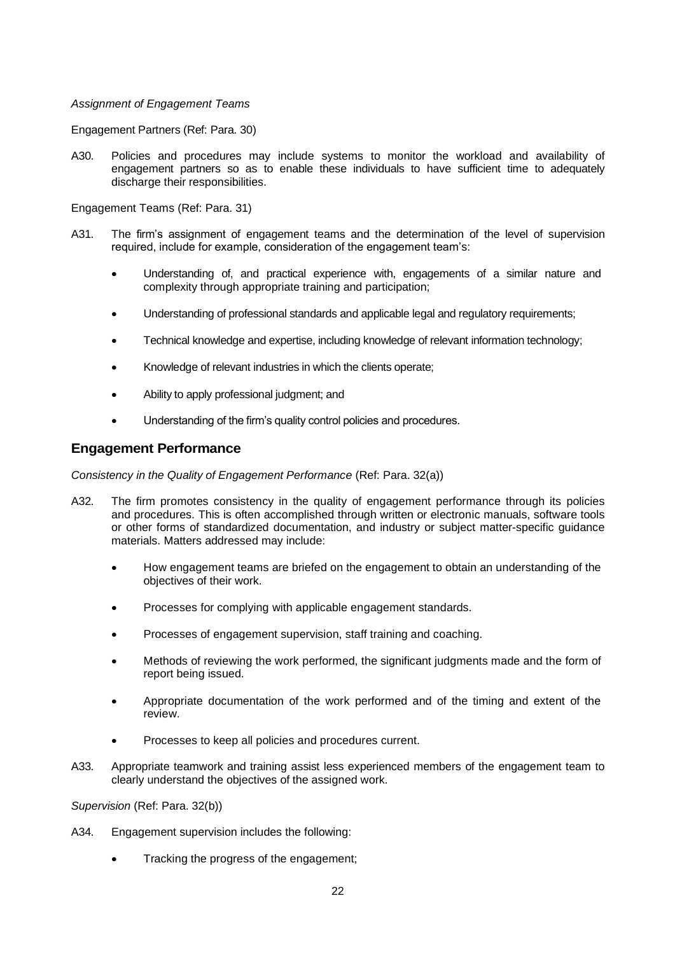#### *Assignment of Engagement Teams*

Engagement Partners (Ref: Para. 30)

A30. Policies and procedures may include systems to monitor the workload and availability of engagement partners so as to enable these individuals to have sufficient time to adequately discharge their responsibilities.

Engagement Teams (Ref: Para. 31)

- A31. The firm's assignment of engagement teams and the determination of the level of supervision required, include for example, consideration of the engagement team's:
	- Understanding of, and practical experience with, engagements of a similar nature and complexity through appropriate training and participation;
	- Understanding of professional standards and applicable legal and regulatory requirements;
	- Technical knowledge and expertise, including knowledge of relevant information technology;
	- Knowledge of relevant industries in which the clients operate;
	- Ability to apply professional judgment; and
	- Understanding of the firm's quality control policies and procedures.

### **Engagement Performance**

*Consistency in the Quality of Engagement Performance* (Ref: Para. 32(a))

- A32. The firm promotes consistency in the quality of engagement performance through its policies and procedures. This is often accomplished through written or electronic manuals, software tools or other forms of standardized documentation, and industry or subject matter-specific guidance materials. Matters addressed may include:
	- How engagement teams are briefed on the engagement to obtain an understanding of the objectives of their work.
	- Processes for complying with applicable engagement standards.
	- Processes of engagement supervision, staff training and coaching.
	- Methods of reviewing the work performed, the significant judgments made and the form of report being issued.
	- Appropriate documentation of the work performed and of the timing and extent of the review.
	- Processes to keep all policies and procedures current.
- A33. Appropriate teamwork and training assist less experienced members of the engagement team to clearly understand the objectives of the assigned work.

*Supervision* (Ref: Para. 32(b))

- A34. Engagement supervision includes the following:
	- Tracking the progress of the engagement;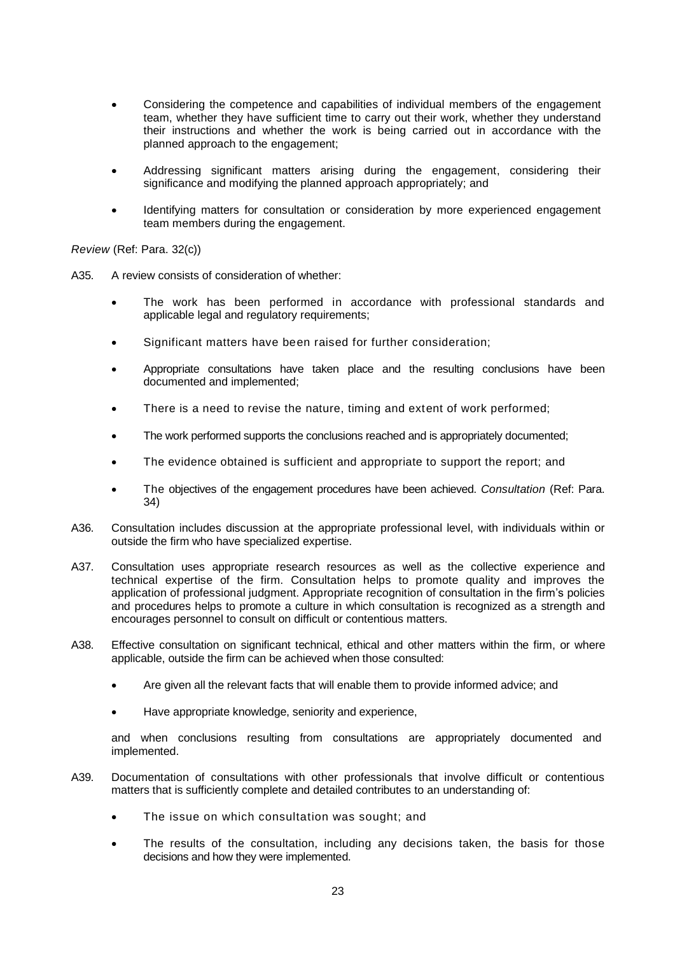- Considering the competence and capabilities of individual members of the engagement team, whether they have sufficient time to carry out their work, whether they understand their instructions and whether the work is being carried out in accordance with the planned approach to the engagement;
- Addressing significant matters arising during the engagement, considering their significance and modifying the planned approach appropriately; and
- Identifying matters for consultation or consideration by more experienced engagement team members during the engagement.

*Review* (Ref: Para. 32(c))

- A35. A review consists of consideration of whether:
	- The work has been performed in accordance with professional standards and applicable legal and regulatory requirements;
	- Significant matters have been raised for further consideration;
	- Appropriate consultations have taken place and the resulting conclusions have been documented and implemented;
	- There is a need to revise the nature, timing and extent of work performed;
	- The work performed supports the conclusions reached and is appropriately documented;
	- The evidence obtained is sufficient and appropriate to support the report; and
	- The objectives of the engagement procedures have been achieved. *Consultation* (Ref: Para. 34)
- A36. Consultation includes discussion at the appropriate professional level, with individuals within or outside the firm who have specialized expertise.
- A37. Consultation uses appropriate research resources as well as the collective experience and technical expertise of the firm. Consultation helps to promote quality and improves the application of professional judgment. Appropriate recognition of consultation in the firm's policies and procedures helps to promote a culture in which consultation is recognized as a strength and encourages personnel to consult on difficult or contentious matters.
- A38. Effective consultation on significant technical, ethical and other matters within the firm, or where applicable, outside the firm can be achieved when those consulted:
	- Are given all the relevant facts that will enable them to provide informed advice; and
	- Have appropriate knowledge, seniority and experience,

and when conclusions resulting from consultations are appropriately documented and implemented.

- A39. Documentation of consultations with other professionals that involve difficult or contentious matters that is sufficiently complete and detailed contributes to an understanding of:
	- The issue on which consultation was sought; and
	- The results of the consultation, including any decisions taken, the basis for those decisions and how they were implemented.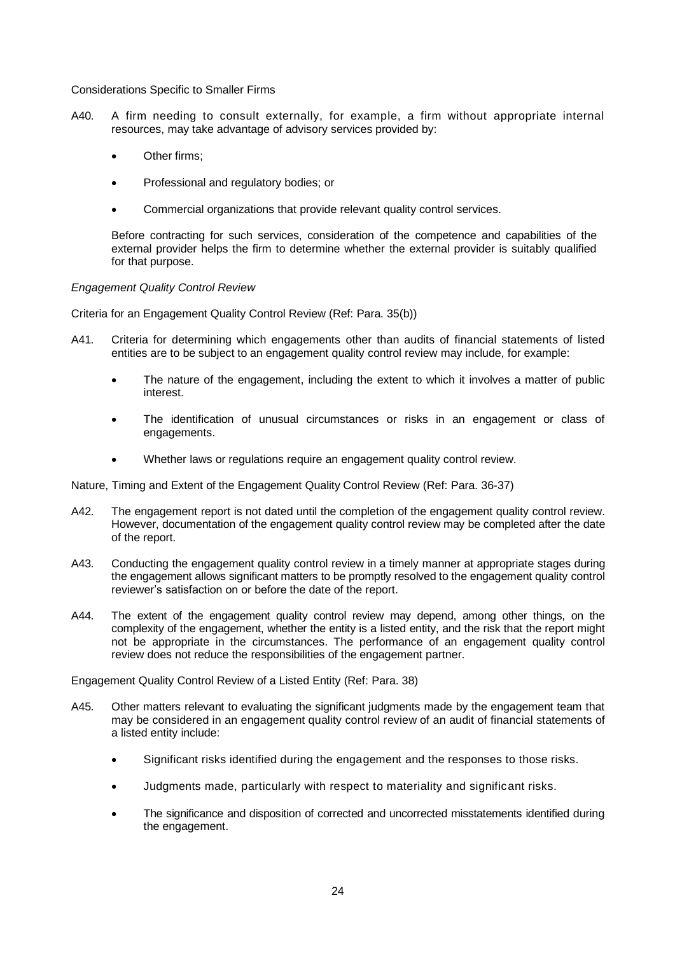Considerations Specific to Smaller Firms

- A40. A firm needing to consult externally, for example, a firm without appropriate internal resources, may take advantage of advisory services provided by:
	- Other firms;
	- Professional and regulatory bodies; or
	- Commercial organizations that provide relevant quality control services.

Before contracting for such services, consideration of the competence and capabilities of the external provider helps the firm to determine whether the external provider is suitably qualified for that purpose.

#### *Engagement Quality Control Review*

Criteria for an Engagement Quality Control Review (Ref: Para. 35(b))

- A41. Criteria for determining which engagements other than audits of financial statements of listed entities are to be subject to an engagement quality control review may include, for example:
	- The nature of the engagement, including the extent to which it involves a matter of public interest.
	- The identification of unusual circumstances or risks in an engagement or class of engagements.
	- Whether laws or regulations require an engagement quality control review.

Nature, Timing and Extent of the Engagement Quality Control Review (Ref: Para. 36-37)

- A42. The engagement report is not dated until the completion of the engagement quality control review. However, documentation of the engagement quality control review may be completed after the date of the report.
- A43. Conducting the engagement quality control review in a timely manner at appropriate stages during the engagement allows significant matters to be promptly resolved to the engagement quality control reviewer's satisfaction on or before the date of the report.
- A44. The extent of the engagement quality control review may depend, among other things, on the complexity of the engagement, whether the entity is a listed entity, and the risk that the report might not be appropriate in the circumstances. The performance of an engagement quality control review does not reduce the responsibilities of the engagement partner.

Engagement Quality Control Review of a Listed Entity (Ref: Para. 38)

- A45. Other matters relevant to evaluating the significant judgments made by the engagement team that may be considered in an engagement quality control review of an audit of financial statements of a listed entity include:
	- Significant risks identified during the engagement and the responses to those risks.
	- Judgments made, particularly with respect to materiality and significant risks.
	- The significance and disposition of corrected and uncorrected misstatements identified during the engagement.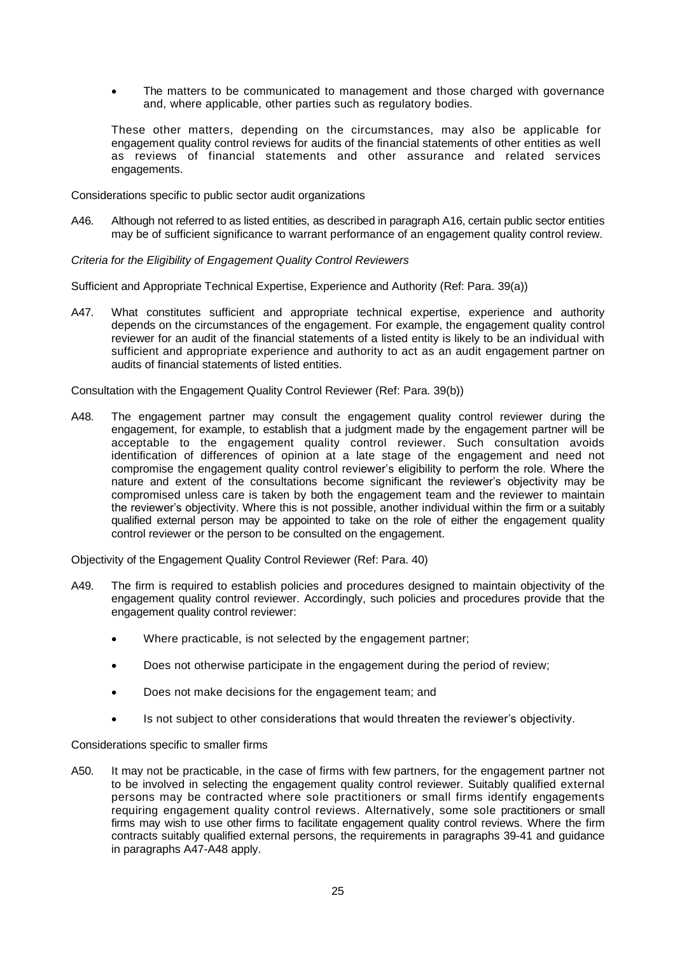The matters to be communicated to management and those charged with governance and, where applicable, other parties such as regulatory bodies.

These other matters, depending on the circumstances, may also be applicable for engagement quality control reviews for audits of the financial statements of other entities as well as reviews of financial statements and other assurance and related services engagements.

Considerations specific to public sector audit organizations

A46. Although not referred to as listed entities, as described in paragraph A16, certain public sector entities may be of sufficient significance to warrant performance of an engagement quality control review.

*Criteria for the Eligibility of Engagement Quality Control Reviewers*

Sufficient and Appropriate Technical Expertise, Experience and Authority (Ref: Para. 39(a))

A47. What constitutes sufficient and appropriate technical expertise, experience and authority depends on the circumstances of the engagement. For example, the engagement quality control reviewer for an audit of the financial statements of a listed entity is likely to be an individual with sufficient and appropriate experience and authority to act as an audit engagement partner on audits of financial statements of listed entities.

Consultation with the Engagement Quality Control Reviewer (Ref: Para. 39(b))

A48. The engagement partner may consult the engagement quality control reviewer during the engagement, for example, to establish that a judgment made by the engagement partner will be acceptable to the engagement quality control reviewer. Such consultation avoids identification of differences of opinion at a late stage of the engagement and need not compromise the engagement quality control reviewer's eligibility to perform the role. Where the nature and extent of the consultations become significant the reviewer's objectivity may be compromised unless care is taken by both the engagement team and the reviewer to maintain the reviewer's objectivity. Where this is not possible, another individual within the firm or a suitably qualified external person may be appointed to take on the role of either the engagement quality control reviewer or the person to be consulted on the engagement.

Objectivity of the Engagement Quality Control Reviewer (Ref: Para. 40)

- A49. The firm is required to establish policies and procedures designed to maintain objectivity of the engagement quality control reviewer. Accordingly, such policies and procedures provide that the engagement quality control reviewer:
	- Where practicable, is not selected by the engagement partner;
	- Does not otherwise participate in the engagement during the period of review;
	- Does not make decisions for the engagement team; and
	- Is not subject to other considerations that would threaten the reviewer's objectivity.

Considerations specific to smaller firms

A50. It may not be practicable, in the case of firms with few partners, for the engagement partner not to be involved in selecting the engagement quality control reviewer. Suitably qualified external persons may be contracted where sole practitioners or small firms identify engagements requiring engagement quality control reviews. Alternatively, some sole practitioners or small firms may wish to use other firms to facilitate engagement quality control reviews. Where the firm contracts suitably qualified external persons, the requirements in paragraphs 39-41 and guidance in paragraphs A47-A48 apply.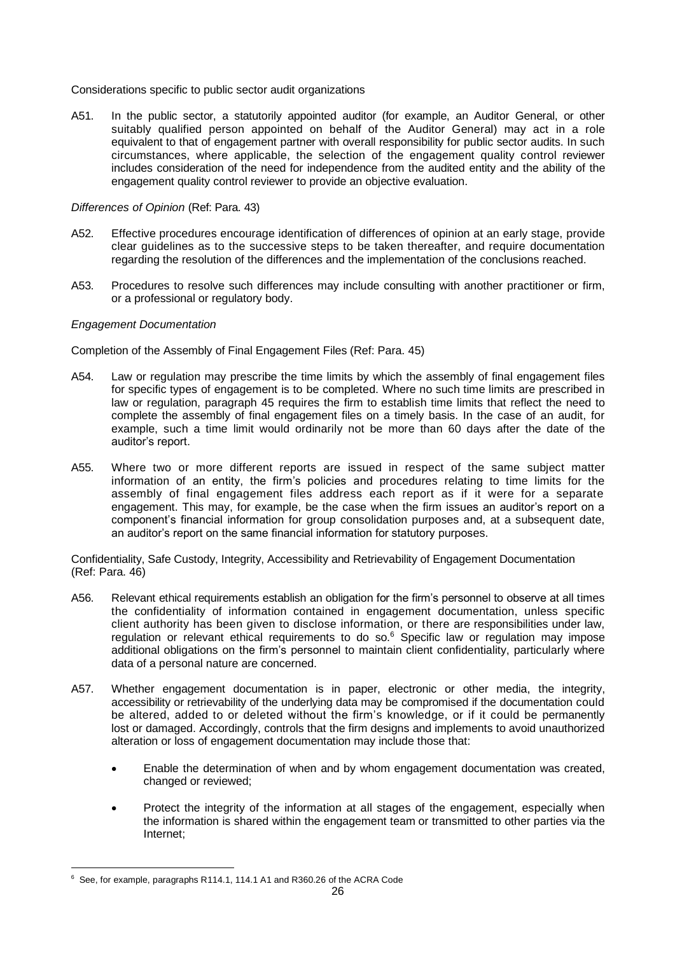Considerations specific to public sector audit organizations

A51. In the public sector, a statutorily appointed auditor (for example, an Auditor General, or other suitably qualified person appointed on behalf of the Auditor General) may act in a role equivalent to that of engagement partner with overall responsibility for public sector audits. In such circumstances, where applicable, the selection of the engagement quality control reviewer includes consideration of the need for independence from the audited entity and the ability of the engagement quality control reviewer to provide an objective evaluation.

#### *Differences of Opinion* (Ref: Para. 43)

- A52. Effective procedures encourage identification of differences of opinion at an early stage, provide clear guidelines as to the successive steps to be taken thereafter, and require documentation regarding the resolution of the differences and the implementation of the conclusions reached.
- A53. Procedures to resolve such differences may include consulting with another practitioner or firm, or a professional or regulatory body.

#### *Engagement Documentation*

Completion of the Assembly of Final Engagement Files (Ref: Para. 45)

- A54. Law or regulation may prescribe the time limits by which the assembly of final engagement files for specific types of engagement is to be completed. Where no such time limits are prescribed in law or regulation, paragraph 45 requires the firm to establish time limits that reflect the need to complete the assembly of final engagement files on a timely basis. In the case of an audit, for example, such a time limit would ordinarily not be more than 60 days after the date of the auditor's report.
- A55. Where two or more different reports are issued in respect of the same subject matter information of an entity, the firm's policies and procedures relating to time limits for the assembly of final engagement files address each report as if it were for a separate engagement. This may, for example, be the case when the firm issues an auditor's report on a component's financial information for group consolidation purposes and, at a subsequent date, an auditor's report on the same financial information for statutory purposes.

Confidentiality, Safe Custody, Integrity, Accessibility and Retrievability of Engagement Documentation (Ref: Para. 46)

- A56. Relevant ethical requirements establish an obligation for the firm's personnel to observe at all times the confidentiality of information contained in engagement documentation, unless specific client authority has been given to disclose information, or there are responsibilities under law, regulation or relevant ethical requirements to do so.<sup>6</sup> Specific law or regulation may impose additional obligations on the firm's personnel to maintain client confidentiality, particularly where data of a personal nature are concerned.
- A57. Whether engagement documentation is in paper, electronic or other media, the integrity, accessibility or retrievability of the underlying data may be compromised if the documentation could be altered, added to or deleted without the firm's knowledge, or if it could be permanently lost or damaged. Accordingly, controls that the firm designs and implements to avoid unauthorized alteration or loss of engagement documentation may include those that:
	- Enable the determination of when and by whom engagement documentation was created, changed or reviewed;
	- Protect the integrity of the information at all stages of the engagement, especially when the information is shared within the engagement team or transmitted to other parties via the Internet;

<sup>6</sup> See, for example, paragraphs R114.1, 114.1 A1 and R360.26 of the ACRA Code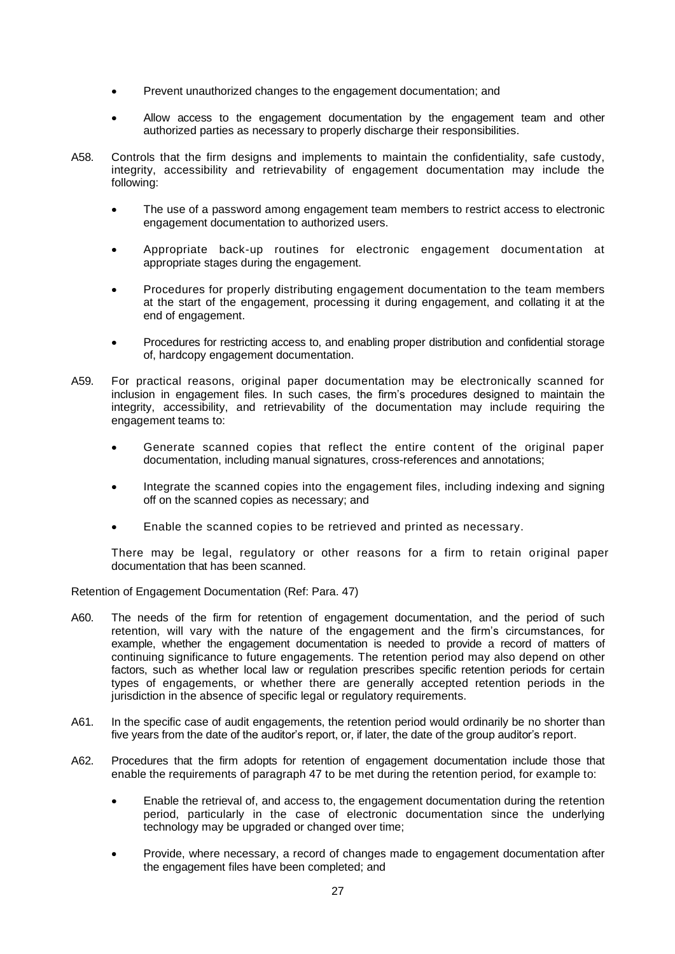- Prevent unauthorized changes to the engagement documentation; and
- Allow access to the engagement documentation by the engagement team and other authorized parties as necessary to properly discharge their responsibilities.
- A58. Controls that the firm designs and implements to maintain the confidentiality, safe custody, integrity, accessibility and retrievability of engagement documentation may include the following:
	- The use of a password among engagement team members to restrict access to electronic engagement documentation to authorized users.
	- Appropriate back-up routines for electronic engagement documentation at appropriate stages during the engagement.
	- Procedures for properly distributing engagement documentation to the team members at the start of the engagement, processing it during engagement, and collating it at the end of engagement.
	- Procedures for restricting access to, and enabling proper distribution and confidential storage of, hardcopy engagement documentation.
- A59. For practical reasons, original paper documentation may be electronically scanned for inclusion in engagement files. In such cases, the firm's procedures designed to maintain the integrity, accessibility, and retrievability of the documentation may include requiring the engagement teams to:
	- Generate scanned copies that reflect the entire content of the original paper documentation, including manual signatures, cross-references and annotations;
	- Integrate the scanned copies into the engagement files, including indexing and signing off on the scanned copies as necessary; and
	- Enable the scanned copies to be retrieved and printed as necessary.

There may be legal, regulatory or other reasons for a firm to retain original paper documentation that has been scanned.

Retention of Engagement Documentation (Ref: Para. 47)

- A60. The needs of the firm for retention of engagement documentation, and the period of such retention, will vary with the nature of the engagement and the firm's circumstances, for example, whether the engagement documentation is needed to provide a record of matters of continuing significance to future engagements. The retention period may also depend on other factors, such as whether local law or regulation prescribes specific retention periods for certain types of engagements, or whether there are generally accepted retention periods in the jurisdiction in the absence of specific legal or regulatory requirements.
- A61. In the specific case of audit engagements, the retention period would ordinarily be no shorter than five years from the date of the auditor's report, or, if later, the date of the group auditor's report.
- A62. Procedures that the firm adopts for retention of engagement documentation include those that enable the requirements of paragraph 47 to be met during the retention period, for example to:
	- Enable the retrieval of, and access to, the engagement documentation during the retention period, particularly in the case of electronic documentation since the underlying technology may be upgraded or changed over time;
	- Provide, where necessary, a record of changes made to engagement documentation after the engagement files have been completed; and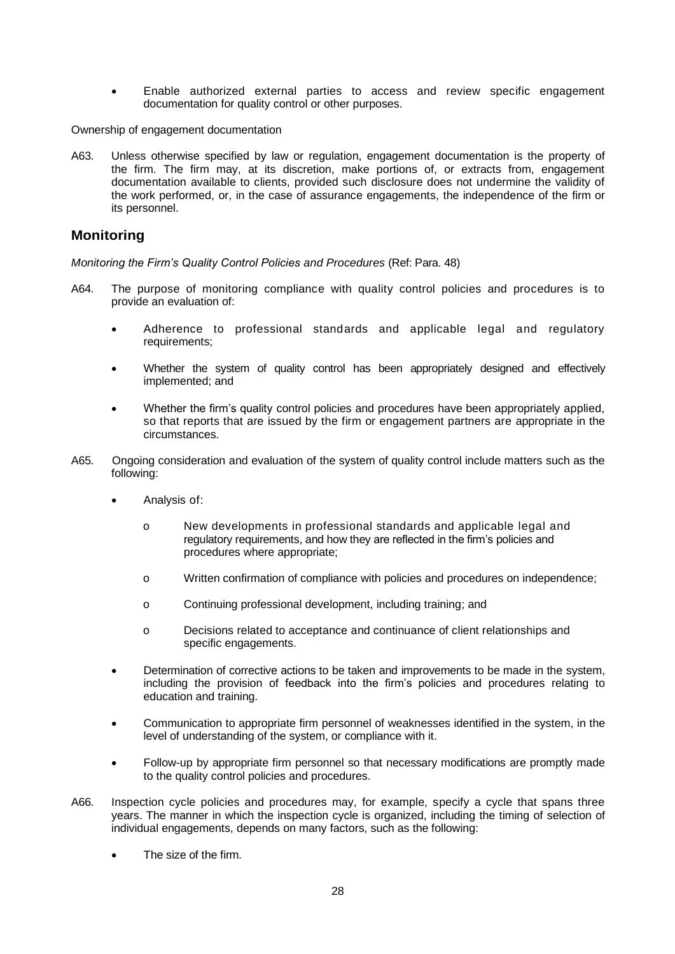• Enable authorized external parties to access and review specific engagement documentation for quality control or other purposes.

Ownership of engagement documentation

A63. Unless otherwise specified by law or regulation, engagement documentation is the property of the firm. The firm may, at its discretion, make portions of, or extracts from, engagement documentation available to clients, provided such disclosure does not undermine the validity of the work performed, or, in the case of assurance engagements, the independence of the firm or its personnel.

### **Monitoring**

*Monitoring the Firm's Quality Control Policies and Procedures* (Ref: Para. 48)

- A64. The purpose of monitoring compliance with quality control policies and procedures is to provide an evaluation of:
	- Adherence to professional standards and applicable legal and regulatory requirements;
	- Whether the system of quality control has been appropriately designed and effectively implemented; and
	- Whether the firm's quality control policies and procedures have been appropriately applied, so that reports that are issued by the firm or engagement partners are appropriate in the circumstances.
- A65. Ongoing consideration and evaluation of the system of quality control include matters such as the following:
	- Analysis of:
		- o New developments in professional standards and applicable legal and regulatory requirements, and how they are reflected in the firm's policies and procedures where appropriate;
		- o Written confirmation of compliance with policies and procedures on independence;
		- o Continuing professional development, including training; and
		- o Decisions related to acceptance and continuance of client relationships and specific engagements.
	- Determination of corrective actions to be taken and improvements to be made in the system, including the provision of feedback into the firm's policies and procedures relating to education and training.
	- Communication to appropriate firm personnel of weaknesses identified in the system, in the level of understanding of the system, or compliance with it.
	- Follow-up by appropriate firm personnel so that necessary modifications are promptly made to the quality control policies and procedures.
- A66. Inspection cycle policies and procedures may, for example, specify a cycle that spans three years. The manner in which the inspection cycle is organized, including the timing of selection of individual engagements, depends on many factors, such as the following:
	- The size of the firm.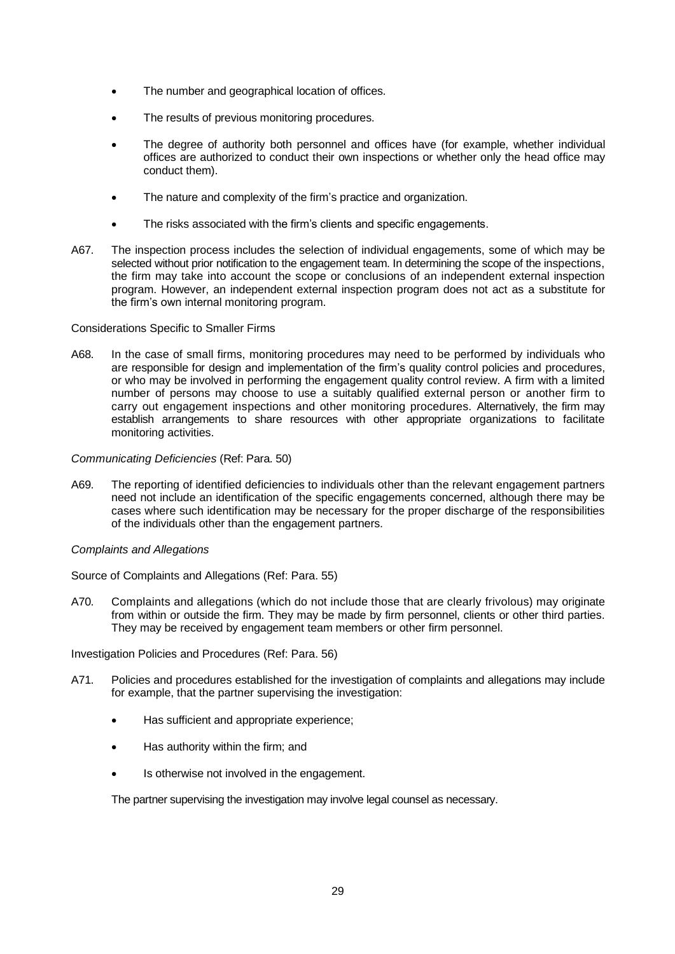- The number and geographical location of offices.
- The results of previous monitoring procedures.
- The degree of authority both personnel and offices have (for example, whether individual offices are authorized to conduct their own inspections or whether only the head office may conduct them).
- The nature and complexity of the firm's practice and organization.
- The risks associated with the firm's clients and specific engagements.
- A67. The inspection process includes the selection of individual engagements, some of which may be selected without prior notification to the engagement team. In determining the scope of the inspections, the firm may take into account the scope or conclusions of an independent external inspection program. However, an independent external inspection program does not act as a substitute for the firm's own internal monitoring program.

#### Considerations Specific to Smaller Firms

A68. In the case of small firms, monitoring procedures may need to be performed by individuals who are responsible for design and implementation of the firm's quality control policies and procedures, or who may be involved in performing the engagement quality control review. A firm with a limited number of persons may choose to use a suitably qualified external person or another firm to carry out engagement inspections and other monitoring procedures. Alternatively, the firm may establish arrangements to share resources with other appropriate organizations to facilitate monitoring activities.

#### *Communicating Deficiencies* (Ref: Para. 50)

A69. The reporting of identified deficiencies to individuals other than the relevant engagement partners need not include an identification of the specific engagements concerned, although there may be cases where such identification may be necessary for the proper discharge of the responsibilities of the individuals other than the engagement partners.

#### *Complaints and Allegations*

Source of Complaints and Allegations (Ref: Para. 55)

A70. Complaints and allegations (which do not include those that are clearly frivolous) may originate from within or outside the firm. They may be made by firm personnel, clients or other third parties. They may be received by engagement team members or other firm personnel.

Investigation Policies and Procedures (Ref: Para. 56)

- A71. Policies and procedures established for the investigation of complaints and allegations may include for example, that the partner supervising the investigation:
	- Has sufficient and appropriate experience;
	- Has authority within the firm; and
	- Is otherwise not involved in the engagement.

The partner supervising the investigation may involve legal counsel as necessary.